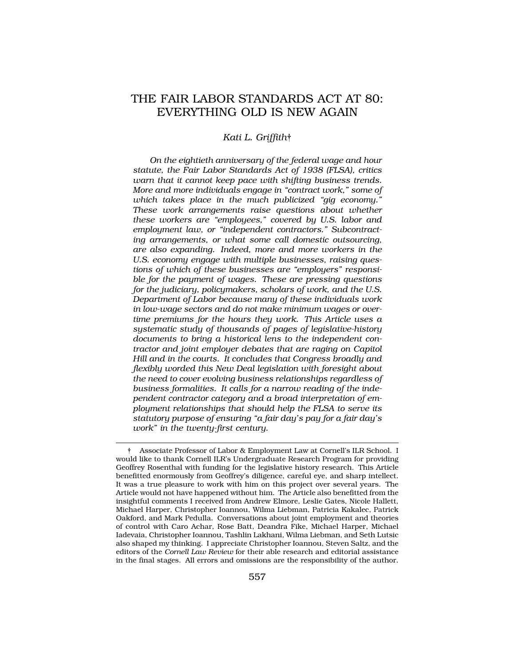# THE FAIR LABOR STANDARDS ACT AT 80: EVERYTHING OLD IS NEW AGAIN

#### *Kati L. Griffith*†

*On the eightieth anniversary of the federal wage and hour statute, the Fair Labor Standards Act of 1938 (FLSA), critics warn that it cannot keep pace with shifting business trends. More and more individuals engage in "contract work," some of which takes place in the much publicized "gig economy." These work arrangements raise questions about whether these workers are "employees," covered by U.S. labor and employment law, or "independent contractors." Subcontracting arrangements, or what some call domestic outsourcing, are also expanding. Indeed, more and more workers in the U.S. economy engage with multiple businesses, raising questions of which of these businesses are "employers" responsible for the payment of wages. These are pressing questions for the judiciary, policymakers, scholars of work, and the U.S. Department of Labor because many of these individuals work in low-wage sectors and do not make minimum wages or overtime premiums for the hours they work. This Article uses a systematic study of thousands of pages of legislative-history documents to bring a historical lens to the independent contractor and joint employer debates that are raging on Capitol Hill and in the courts. It concludes that Congress broadly and flexibly worded this New Deal legislation with foresight about the need to cover evolving business relationships regardless of business formalities. It calls for a narrow reading of the independent contractor category and a broad interpretation of employment relationships that should help the FLSA to serve its statutory purpose of ensuring "a fair day's pay for a fair day's work" in the twenty-first century.* 

<sup>†</sup> Associate Professor of Labor & Employment Law at Cornell's ILR School. I would like to thank Cornell ILR's Undergraduate Research Program for providing Geoffrey Rosenthal with funding for the legislative history research. This Article benefitted enormously from Geoffrey's diligence, careful eye, and sharp intellect. It was a true pleasure to work with him on this project over several years. The Article would not have happened without him. The Article also benefitted from the insightful comments I received from Andrew Elmore, Leslie Gates, Nicole Hallett, Michael Harper, Christopher Ioannou, Wilma Liebman, Patricia Kakalec, Patrick Oakford, and Mark Pedulla. Conversations about joint employment and theories of control with Caro Achar, Rose Batt, Deandra Fike, Michael Harper, Michael Iadevaia, Christopher Ioannou, Tashlin Lakhani, Wilma Liebman, and Seth Lutsic also shaped my thinking. I appreciate Christopher Ioannou, Steven Saltz, and the editors of the *Cornell Law Review* for their able research and editorial assistance in the final stages. All errors and omissions are the responsibility of the author.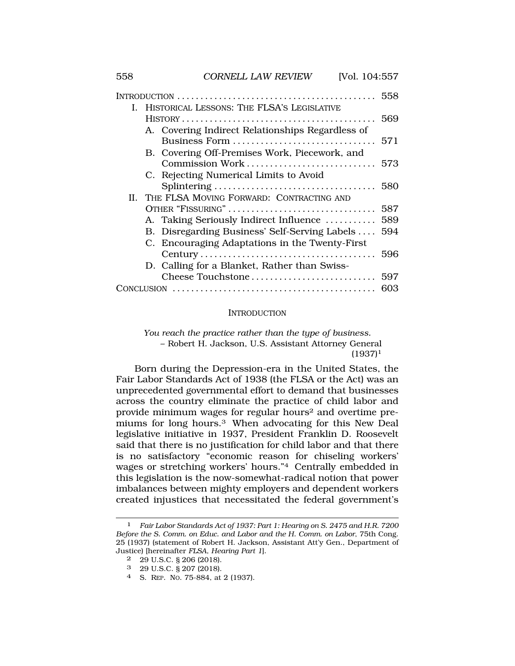|  |                                            |                                                  | 558 |
|--|--------------------------------------------|--------------------------------------------------|-----|
|  | HISTORICAL LESSONS: THE FLSA'S LEGISLATIVE |                                                  |     |
|  |                                            |                                                  | 569 |
|  |                                            | A. Covering Indirect Relationships Regardless of |     |
|  |                                            | Business Form                                    | 571 |
|  |                                            | B. Covering Off-Premises Work, Piecework, and    |     |
|  |                                            | Commission Work                                  | 573 |
|  |                                            | C. Rejecting Numerical Limits to Avoid           |     |
|  |                                            |                                                  | 580 |
|  |                                            | II. THE FLSA MOVING FORWARD: CONTRACTING AND     |     |
|  | OTHER "FISSURING"                          |                                                  | 587 |
|  |                                            | A. Taking Seriously Indirect Influence           | 589 |
|  |                                            | B. Disregarding Business' Self-Serving Labels    | 594 |
|  |                                            | C. Encouraging Adaptations in the Twenty-First   |     |
|  |                                            |                                                  | 596 |
|  |                                            | D. Calling for a Blanket, Rather than Swiss-     |     |
|  |                                            | Cheese Touchstone                                | 597 |
|  |                                            |                                                  | 603 |
|  |                                            |                                                  |     |

#### **INTRODUCTION**

*You reach the practice rather than the type of business.*  – Robert H. Jackson, U.S. Assistant Attorney General  $(1937)^1$ 

Born during the Depression-era in the United States, the Fair Labor Standards Act of 1938 (the FLSA or the Act) was an unprecedented governmental effort to demand that businesses across the country eliminate the practice of child labor and provide minimum wages for regular hours2 and overtime premiums for long hours.3 When advocating for this New Deal legislative initiative in 1937, President Franklin D. Roosevelt said that there is no justification for child labor and that there is no satisfactory "economic reason for chiseling workers' wages or stretching workers' hours."4 Centrally embedded in this legislation is the now-somewhat-radical notion that power imbalances between mighty employers and dependent workers created injustices that necessitated the federal government's

- 2 29 U.S.C. § 206 (2018).
- 3 29 U.S.C. § 207 (2018).
- 4 S. REP. NO. 75-884, at 2 (1937).

<sup>1</sup> *Fair Labor Standards Act of 1937: Part 1: Hearing on S. 2475 and H.R. 7200 Before the S. Comm. on Educ. and Labor and the H. Comm. on Labor*, 75th Cong. 25 (1937) (statement of Robert H. Jackson, Assistant Att'y Gen., Department of Justice) [hereinafter *FLSA, Hearing Part 1*].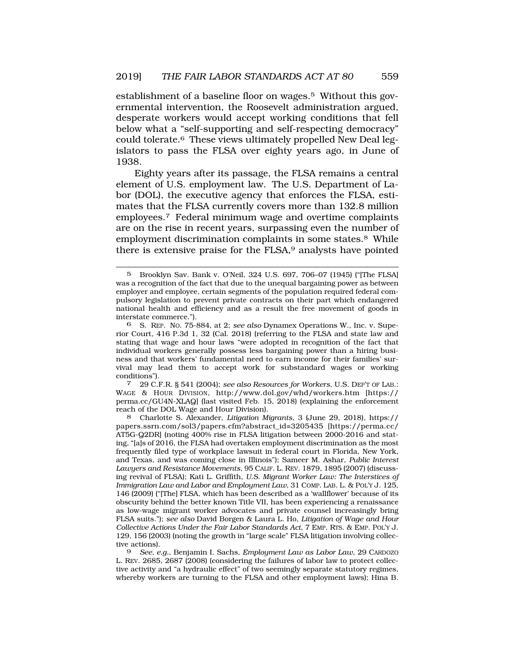establishment of a baseline floor on wages.5 Without this governmental intervention, the Roosevelt administration argued, desperate workers would accept working conditions that fell below what a "self-supporting and self-respecting democracy" could tolerate.6 These views ultimately propelled New Deal legislators to pass the FLSA over eighty years ago, in June of 1938.

Eighty years after its passage, the FLSA remains a central element of U.S. employment law. The U.S. Department of Labor (DOL), the executive agency that enforces the FLSA, estimates that the FLSA currently covers more than 132.8 million employees.7 Federal minimum wage and overtime complaints are on the rise in recent years, surpassing even the number of employment discrimination complaints in some states.<sup>8</sup> While there is extensive praise for the FLSA,<sup>9</sup> analysts have pointed

WAGE & HOUR DIVISION, http://www.dol.gov/whd/workers.htm [https:// perma.cc/GU4N-XLAQ] (last visited Feb. 15, 2018) (explaining the enforcement reach of the DOL Wage and Hour Division).

8 Charlotte S. Alexander, *Litigation Migrants*, 3 (June 29, 2018), https:// papers.ssrn.com/sol3/papers.cfm?abstract\_id=3205435 [https://perma.cc/ AT5G-Q2DR] (noting 400% rise in FLSA litigation between 2000-2016 and stating, "[a]s of 2016, the FLSA had overtaken employment discrimination as the most frequently filed type of workplace lawsuit in federal court in Florida, New York, and Texas, and was coming close in Illinois"); Sameer M. Ashar, *Public Interest Lawyers and Resistance Movements*, 95 CALIF. L. REV. 1879, 1895 (2007) (discussing revival of FLSA); Kati L. Griffith, *U.S. Migrant Worker Law: The Interstices of Immigration Law and Labor and Employment Law*, 31 COMP. LAB. L. & POL'Y J. 125, 146 (2009) ("[The] FLSA, which has been described as a 'wallflower' because of its obscurity behind the better known Title VII, has been experiencing a renaissance as low-wage migrant worker advocates and private counsel increasingly bring FLSA suits."); *see also* David Borgen & Laura L. Ho, *Litigation of Wage and Hour Collective Actions Under the Fair Labor Standards Act*, 7 EMP. RTS. & EMP. POL'Y J. 129, 156 (2003) (noting the growth in "large scale" FLSA litigation involving collective actions).<br>9 See, e

9 *See, e.g.*, Benjamin I. Sachs, *Employment Law as Labor Law*, 29 CARDOZO L. REV. 2685, 2687 (2008) (considering the failures of labor law to protect collective activity and "a hydraulic effect" of two seemingly separate statutory regimes, whereby workers are turning to the FLSA and other employment laws); Hina B.

<sup>5</sup> Brooklyn Sav. Bank v. O'Neil, 324 U.S. 697, 706–07 (1945) ("[The FLSA] was a recognition of the fact that due to the unequal bargaining power as between employer and employee, certain segments of the population required federal compulsory legislation to prevent private contracts on their part which endangered national health and efficiency and as a result the free movement of goods in interstate commerce.").

<sup>6</sup> S. REP. NO. 75-884, at 2; *see also* Dynamex Operations W., Inc. v. Superior Court, 416 P.3d 1, 32 (Cal. 2018) (referring to the FLSA and state law and stating that wage and hour laws "were adopted in recognition of the fact that individual workers generally possess less bargaining power than a hiring business and that workers' fundamental need to earn income for their families' survival may lead them to accept work for substandard wages or working conditions"). 7 29 C.F.R. § 541 (2004); *see also Resources for Workers*, U.S. DEP'T OF LAB.: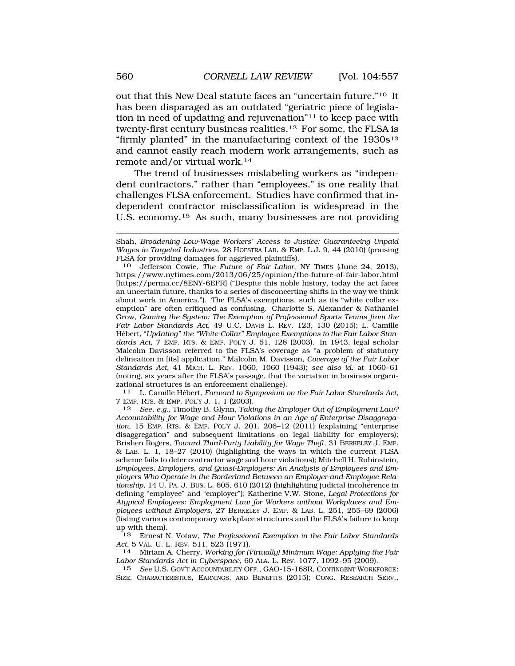out that this New Deal statute faces an "uncertain future."10 It has been disparaged as an outdated "geriatric piece of legislation in need of updating and rejuvenation"11 to keep pace with twenty-first century business realities.12 For some, the FLSA is "firmly planted" in the manufacturing context of the 1930s<sup>13</sup> and cannot easily reach modern work arrangements, such as remote and/or virtual work.14

The trend of businesses mislabeling workers as "independent contractors," rather than "employees," is one reality that challenges FLSA enforcement. Studies have confirmed that independent contractor misclassification is widespread in the U.S. economy.15 As such, many businesses are not providing

10 Jefferson Cowie, *The Future of Fair Labor*, NY TIMES (June 24, 2013), https://www.nytimes.com/2013/06/25/opinion/the-future-of-fair-labor.html [https://perma.cc/8ENY-6EFR] ("Despite this noble history, today the act faces an uncertain future, thanks to a series of disconcerting shifts in the way we think about work in America."). The FLSA's exemptions, such as its "white collar exemption" are often critiqued as confusing. Charlotte S. Alexander & Nathaniel Grow, *Gaming the System: The Exemption of Professional Sports Teams from the Fair Labor Standards Act*, 49 U.C. DAVIS L. REV. 123, 130 (2015); L. Camille Hébert, "*Updating*" the "White-Collar" Employee Exemptions to the Fair Labor Stan*dards Act*, 7 EMP. RTS. & EMP. POL'Y J. 51, 128 (2003). In 1943, legal scholar Malcolm Davisson referred to the FLSA's coverage as "a problem of statutory delineation in [its] application." Malcolm M. Davisson, *Coverage of the Fair Labor Standards Act*, 41 MICH. L. REV. 1060, 1060 (1943); *see also id.* at 1060–61 (noting, six years after the FLSA's passage, that the variation in business organizational structures is an enforcement challenge).

<sup>11</sup> L. Camille Hébert, *Forward to Symposium on the Fair Labor Standards Act*, 7 EMP. RTS. & EMP. POL'Y J. 1, 1 (2003).

12 *See, e.g.,* Timothy B. Glynn, *Taking the Employer Out of Employment Law? Accountability for Wage and Hour Violations in an Age of Enterprise Disaggregation*, 15 EMP. RTS. & EMP. POL'Y J. 201, 206–12 (2011) (explaining "enterprise disaggregation" and subsequent limitations on legal liability for employers); Brishen Rogers, *Toward Third-Party Liability for Wage Theft*, 31 BERKELEY J. EMP. & LAB. L. 1, 18–27 (2010) (highlighting the ways in which the current FLSA scheme fails to deter contractor wage and hour violations); Mitchell H. Rubinstein, *Employees, Employers, and Quasi-Employers: An Analysis of Employees and Employers Who Operate in the Borderland Between an Employer-and-Employee Relationship*, 14 U. PA. J. BUS. L. 605, 610 (2012) (highlighting judicial incoherence in defining "employee" and "employer"); Katherine V.W. Stone, *Legal Protections for Atypical Employees: Employment Law for Workers without Workplaces and Employees without Employers*, 27 BERKELEY J. EMP. & LAB. L. 251, 255–69 (2006) (listing various contemporary workplace structures and the FLSA's failure to keep up with them).

13 Ernest N. Votaw, *The Professional Exemption in the Fair Labor Standards Act*, 5 VAL. U. L. REV. 511, 523 (1971). 14 Miriam A. Cherry, *Working for (Virtually) Minimum Wage: Applying the Fair* 

*Labor Standards Act in Cyberspace*, 60 ALA. L. Rev. 1077, 1092–95 (2009).

15 *See* U.S. GOV'T ACCOUNTABILITY OFF., GAO-15-168R, CONTINGENT WORKFORCE: SIZE, CHARACTERISTICS, EARNINGS, AND BENEFITS (2015); CONG. RESEARCH SERV.,

Shah, *Broadening Low-Wage Workers' Access to Justice: Guaranteeing Unpaid Wages in Targeted Industries*, 28 HOFSTRA LAB. & EMP. L.J. 9, 44 (2010) (praising FLSA for providing damages for aggrieved plaintiffs).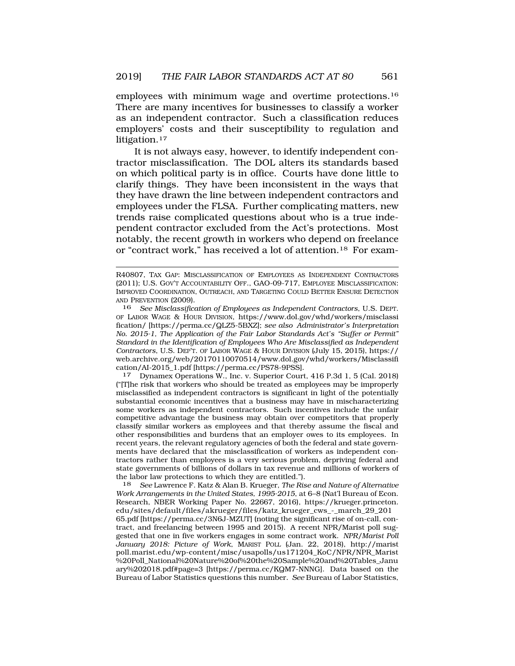employees with minimum wage and overtime protections.16 There are many incentives for businesses to classify a worker as an independent contractor. Such a classification reduces employers' costs and their susceptibility to regulation and litigation.<sup>17</sup>

It is not always easy, however, to identify independent contractor misclassification. The DOL alters its standards based on which political party is in office. Courts have done little to clarify things. They have been inconsistent in the ways that they have drawn the line between independent contractors and employees under the FLSA. Further complicating matters, new trends raise complicated questions about who is a true independent contractor excluded from the Act's protections. Most notably, the recent growth in workers who depend on freelance or "contract work," has received a lot of attention.18 For exam-

("[T]he risk that workers who should be treated as employees may be improperly misclassified as independent contractors is significant in light of the potentially substantial economic incentives that a business may have in mischaracterizing some workers as independent contractors. Such incentives include the unfair competitive advantage the business may obtain over competitors that properly classify similar workers as employees and that thereby assume the fiscal and other responsibilities and burdens that an employer owes to its employees. In recent years, the relevant regulatory agencies of both the federal and state governments have declared that the misclassification of workers as independent contractors rather than employees is a very serious problem, depriving federal and state governments of billions of dollars in tax revenue and millions of workers of the labor law protections to which they are entitled.").

18 *See* Lawrence F. Katz & Alan B. Krueger, *The Rise and Nature of Alternative Work Arrangements in the United States, 1995-2015*, at 6–8 (Nat'l Bureau of Econ. Research, NBER Working Paper No. 22667, 2016), https://krueger.princeton. edu/sites/default/files/akrueger/files/katz\_krueger\_cws\_-\_march\_29\_201 65.pdf [https://perma.cc/3N6J-MZUT] (noting the significant rise of on-call, contract, and freelancing between 1995 and 2015). A recent NPR/Marist poll suggested that one in five workers engages in some contract work. *NPR/Marist Poll January 2018: Picture of Work*, MARIST POLL (Jan. 22, 2018), http://marist poll.marist.edu/wp-content/misc/usapolls/us171204\_KoC/NPR/NPR\_Marist %20Poll\_National%20Nature%20of%20the%20Sample%20and%20Tables\_Janu ary%202018.pdf#page=3 [https://perma.cc/KQM7-NNNG]. Data based on the Bureau of Labor Statistics questions this number. *See* Bureau of Labor Statistics,

R40807, TAX GAP: MISCLASSIFICATION OF EMPLOYEES AS INDEPENDENT CONTRACTORS (2011); U.S. GOV'T ACCOUNTABILITY OFF., GAO-09-717, EMPLOYEE MISCLASSIFICATION: IMPROVED COORDINATION, OUTREACH, AND TARGETING COULD BETTER ENSURE DETECTION AND PREVENTION (2009).

<sup>16</sup> *See Misclassification of Employees as Independent Contractors*, U.S. DEPT. OF LABOR WAGE & HOUR DIVISION, https://www.dol.gov/whd/workers/misclassi fication/ [https://perma.cc/QLZ5-5BXZ]; *see also Administrator's Interpretation No. 2015-1, The Application of the Fair Labor Standards Act's "Suffer or Permit" Standard in the Identification of Employees Who Are Misclassified as Independent Contractors*, U.S. DEP'T. OF LABOR WAGE & HOUR DIVISION (July 15, 2015), https:// web.archive.org/web/20170110070514/www.dol.gov/whd/workers/Misclassifi cation/AI-2015\_1.pdf [https://perma.cc/PS78-9PSS]. 17 Dynamex Operations W., Inc. v. Superior Court, 416 P.3d 1, 5 (Cal. 2018)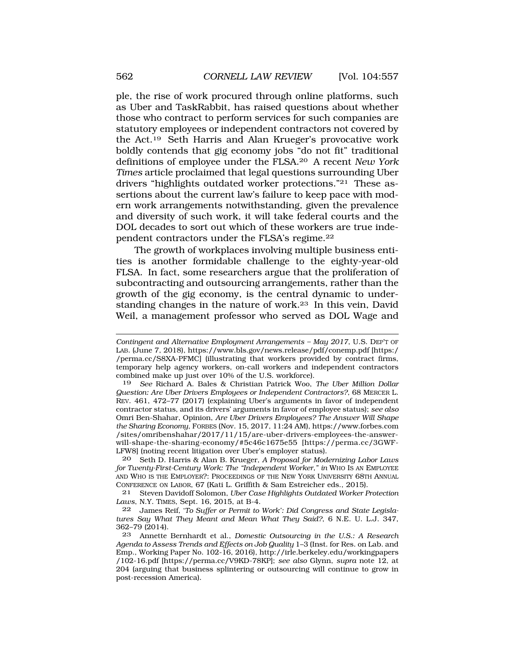ple, the rise of work procured through online platforms, such as Uber and TaskRabbit, has raised questions about whether those who contract to perform services for such companies are statutory employees or independent contractors not covered by the Act.19 Seth Harris and Alan Krueger's provocative work boldly contends that gig economy jobs "do not fit" traditional definitions of employee under the FLSA.20 A recent *New York Times* article proclaimed that legal questions surrounding Uber drivers "highlights outdated worker protections."21 These assertions about the current law's failure to keep pace with modern work arrangements notwithstanding, given the prevalence and diversity of such work, it will take federal courts and the DOL decades to sort out which of these workers are true independent contractors under the FLSA's regime.22

The growth of workplaces involving multiple business entities is another formidable challenge to the eighty-year-old FLSA. In fact, some researchers argue that the proliferation of subcontracting and outsourcing arrangements, rather than the growth of the gig economy, is the central dynamic to understanding changes in the nature of work.23 In this vein, David Weil, a management professor who served as DOL Wage and

19 *See* Richard A. Bales & Christian Patrick Woo, *The Uber Million Dollar Question: Are Uber Drivers Employees or Independent Contractors?*, 68 MERCER L. REV. 461, 472–77 (2017) (explaining Uber's arguments in favor of independent contractor status, and its drivers' arguments in favor of employee status); *see also*  Omri Ben-Shahar, Opinion, *Are Uber Drivers Employees? The Answer Will Shape the Sharing Economy*, FORBES (Nov. 15, 2017, 11:24 AM), https://www.forbes.com /sites/omribenshahar/2017/11/15/are-uber-drivers-employees-the-answerwill-shape-the-sharing-economy/#5c46c1675e55 [https://perma.cc/3GWF-LFW8] (noting recent litigation over Uber's employer status).

20 Seth D. Harris & Alan B. Krueger, *A Proposal for Modernizing Labor Laws for Twenty-First-Century Work: The "Independent Worker," in* WHO IS AN EMPLOYEE AND WHO IS THE EMPLOYER?: PROCEEDINGS OF THE NEW YORK UNIVERSITY 68TH ANNUAL CONFERENCE ON LABOR, 67 (Kati L. Griffith & Sam Estreicher eds., 2015).

21 Steven Davidoff Solomon, *Uber Case Highlights Outdated Worker Protection Laws*, N.Y. TIMES, Sept. 16, 2015, at B-4.

22 James Reif, '*To Suffer or Permit to Work': Did Congress and State Legislatures Say What They Meant and Mean What They Said?*, 6 N.E. U. L.J. 347, 362–79 (2014).

23 Annette Bernhardt et al., *Domestic Outsourcing in the U.S.: A Research Agenda to Assess Trends and Effects on Job Quality* 1–3 (Inst. for Res. on Lab. and Emp., Working Paper No. 102-16, 2016), http://irle.berkeley.edu/workingpapers /102-16.pdf [https://perma.cc/V9KD-78KP]; *see also* Glynn, *supra* note 12, at 204 (arguing that business splintering or outsourcing will continue to grow in post-recession America).

*Contingent and Alternative Employment Arrangements – May 2017*, U.S. DEP'T OF LAB. (June 7, 2018), https://www.bls.gov/news.release/pdf/conemp.pdf [https:/ /perma.cc/S8XA-PFMC] (illustrating that workers provided by contract firms, temporary help agency workers, on-call workers and independent contractors combined make up just over 10% of the U.S. workforce).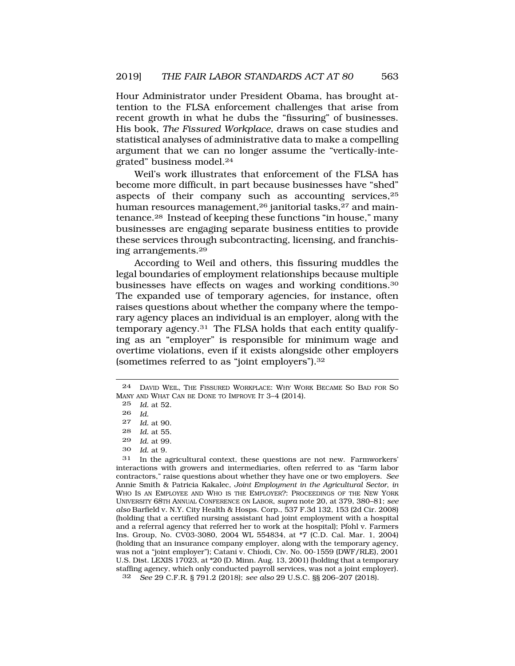Hour Administrator under President Obama, has brought attention to the FLSA enforcement challenges that arise from recent growth in what he dubs the "fissuring" of businesses. His book, *The Fissured Workplace*, draws on case studies and statistical analyses of administrative data to make a compelling argument that we can no longer assume the "vertically-integrated" business model.24

Weil's work illustrates that enforcement of the FLSA has become more difficult, in part because businesses have "shed" aspects of their company such as accounting services,25 human resources management,<sup>26</sup> janitorial tasks,<sup>27</sup> and maintenance.28 Instead of keeping these functions "in house," many businesses are engaging separate business entities to provide these services through subcontracting, licensing, and franchising arrangements.29

According to Weil and others, this fissuring muddles the legal boundaries of employment relationships because multiple businesses have effects on wages and working conditions.30 The expanded use of temporary agencies, for instance, often raises questions about whether the company where the temporary agency places an individual is an employer, along with the temporary agency.31 The FLSA holds that each entity qualifying as an "employer" is responsible for minimum wage and overtime violations, even if it exists alongside other employers (sometimes referred to as "joint employers").32

- *Id.* at 55.
- 29 *Id.* at 99.
- *Id.* at 9.

31 In the agricultural context, these questions are not new. Farmworkers' interactions with growers and intermediaries, often referred to as "farm labor contractors," raise questions about whether they have one or two employers. *See*  Annie Smith & Patricia Kakalec, *Joint Employment in the Agricultural Sector*, *in*  WHO IS AN EMPLOYEE AND WHO IS THE EMPLOYER?: PROCEEDINGS OF THE NEW YORK UNIVERSITY 68TH ANNUAL CONFERENCE ON LABOR, *supra* note 20, at 379, 380–81; *see also* Barfield v. N.Y. City Health & Hosps. Corp., 537 F.3d 132, 153 (2d Cir. 2008) (holding that a certified nursing assistant had joint employment with a hospital and a referral agency that referred her to work at the hospital); Pfohl v. Farmers Ins. Group, No. CV03-3080, 2004 WL 554834, at \*7 (C.D. Cal. Mar. 1, 2004) (holding that an insurance company employer, along with the temporary agency, was not a "joint employer"); Catani v. Chiodi, Civ. No. 00-1559 (DWF/RLE), 2001 U.S. Dist. LEXIS 17023, at \*20 (D. Minn. Aug. 13, 2001) (holding that a temporary staffing agency, which only conducted payroll services, was not a joint employer).

32 *See* 29 C.F.R. § 791.2 (2018); *see also* 29 U.S.C. §§ 206–207 (2018).

<sup>24</sup> DAVID WEIL, THE FISSURED WORKPLACE: WHY WORK BECAME SO BAD FOR SO MANY AND WHAT CAN BE DONE TO IMPROVE IT 3–4 (2014).

<sup>25</sup> *Id.* at 52.

<sup>26</sup> *Id.* 

<sup>27</sup> *Id.* at 90.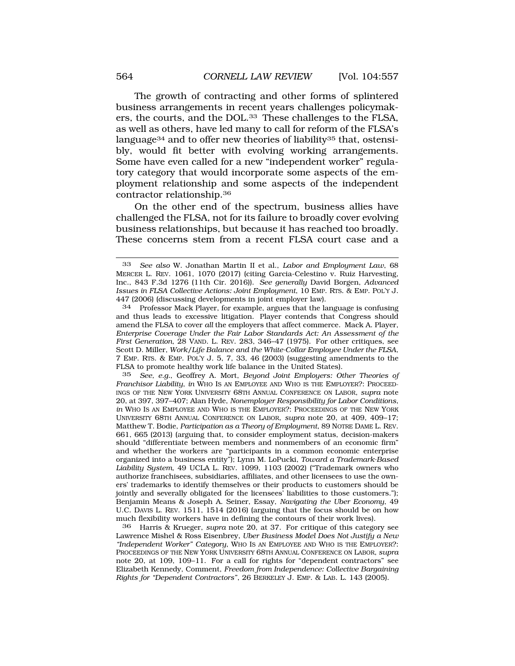The growth of contracting and other forms of splintered business arrangements in recent years challenges policymakers, the courts, and the DOL.33 These challenges to the FLSA, as well as others, have led many to call for reform of the FLSA's language<sup>34</sup> and to offer new theories of liability<sup>35</sup> that, ostensibly, would fit better with evolving working arrangements. Some have even called for a new "independent worker" regulatory category that would incorporate some aspects of the employment relationship and some aspects of the independent contractor relationship.36

On the other end of the spectrum, business allies have challenged the FLSA, not for its failure to broadly cover evolving business relationships, but because it has reached too broadly. These concerns stem from a recent FLSA court case and a

34 Professor Mack Player, for example, argues that the language is confusing and thus leads to excessive litigation. Player contends that Congress should amend the FLSA to cover *all* the employers that affect commerce. Mack A. Player, *Enterprise Coverage Under the Fair Labor Standards Act: An Assessment of the First Generation*, 28 VAND. L. REV. 283, 346–47 (1975). For other critiques, see Scott D. Miller, *Work/Life Balance and the White-Collar Employee Under the FLSA*, 7 EMP. RTS. & EMP. POL'Y J. 5, 7, 33, 46 (2003) (suggesting amendments to the FLSA to promote healthy work life balance in the United States).

35 *See, e.g.*, Geoffrey A. Mort, *Beyond Joint Employers: Other Theories of Franchisor Liability*, *in* WHO IS AN EMPLOYEE AND WHO IS THE EMPLOYER?: PROCEED-INGS OF THE NEW YORK UNIVERSITY 68TH ANNUAL CONFERENCE ON LABOR, *supra* note 20, at 397, 397–407; Alan Hyde, *Nonemployer Responsibility for Labor Conditions*, *in* WHO IS AN EMPLOYEE AND WHO IS THE EMPLOYER?: PROCEEDINGS OF THE NEW YORK UNIVERSITY 68TH ANNUAL CONFERENCE ON LABOR, *supra* note 20, at 409, 409–17; Matthew T. Bodie, *Participation as a Theory of Employment*, 89 NOTRE DAME L. REV. 661, 665 (2013) (arguing that, to consider employment status, decision-makers should "differentiate between members and nonmembers of an economic firm" and whether the workers are "participants in a common economic enterprise organized into a business entity"); Lynn M. LoPucki, *Toward a Trademark-Based Liability System*, 49 UCLA L. REV. 1099, 1103 (2002) ("Trademark owners who authorize franchisees, subsidiaries, affiliates, and other licensees to use the owners' trademarks to identify themselves or their products to customers should be jointly and severally obligated for the licensees' liabilities to those customers."); Benjamin Means & Joseph A. Seiner, Essay, *Navigating the Uber Economy*, 49 U.C. DAVIS L. REV. 1511, 1514 (2016) (arguing that the focus should be on how much flexibility workers have in defining the contours of their work lives).

36 Harris & Krueger, *supra* note 20, at 37. For critique of this category see Lawrence Mishel & Ross Eisenbrey, *Uber Business Model Does Not Justify a New "Independent Worker" Category*, WHO IS AN EMPLOYEE AND WHO IS THE EMPLOYER?: PROCEEDINGS OF THE NEW YORK UNIVERSITY 68TH ANNUAL CONFERENCE ON LABOR, *supra*  note 20, at 109, 109–11. For a call for rights for "dependent contractors" see Elizabeth Kennedy, Comment, *Freedom from Independence: Collective Bargaining Rights for "Dependent Contractors"*, 26 BERKELEY J. EMP. & LAB. L. 143 (2005).

<sup>33</sup> *See also* W. Jonathan Martin II et al., *Labor and Employment Law*, 68 MERCER L. REV. 1061, 1070 (2017) (citing Garcia-Celestino v. Ruiz Harvesting, Inc., 843 F.3d 1276 (11th Cir. 2016)). *See generally* David Borgen, *Advanced Issues in FLSA Collective Actions: Joint Employment*, 10 EMP. RTS. & EMP. POL'Y J. 447 (2006) (discussing developments in joint employer law).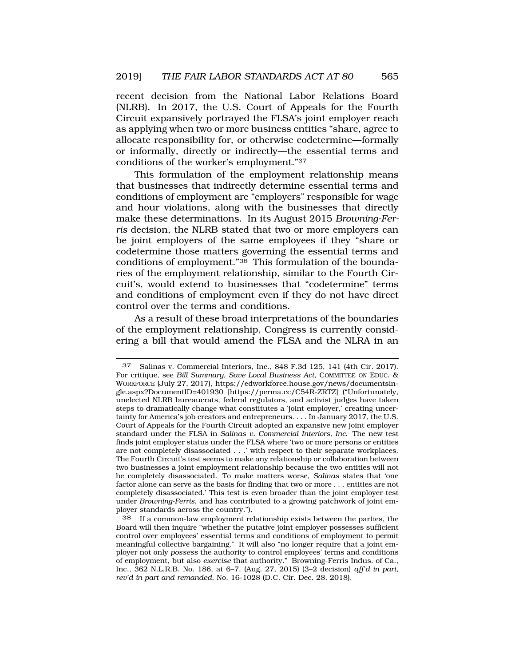recent decision from the National Labor Relations Board (NLRB). In 2017, the U.S. Court of Appeals for the Fourth Circuit expansively portrayed the FLSA's joint employer reach as applying when two or more business entities "share, agree to allocate responsibility for, or otherwise codetermine—formally or informally, directly or indirectly—the essential terms and conditions of the worker's employment."37

This formulation of the employment relationship means that businesses that indirectly determine essential terms and conditions of employment are "employers" responsible for wage and hour violations, along with the businesses that directly make these determinations. In its August 2015 *Browning-Ferris* decision, the NLRB stated that two or more employers can be joint employers of the same employees if they "share or codetermine those matters governing the essential terms and conditions of employment."38 This formulation of the boundaries of the employment relationship, similar to the Fourth Circuit's, would extend to businesses that "codetermine" terms and conditions of employment even if they do not have direct control over the terms and conditions.

As a result of these broad interpretations of the boundaries of the employment relationship, Congress is currently considering a bill that would amend the FLSA and the NLRA in an

<sup>37</sup> Salinas v. Commercial Interiors, Inc., 848 F.3d 125, 141 (4th Cir. 2017). For critique, see *Bill Summary, Save Local Business Act*, COMMITTEE ON EDUC. & WORKFORCE (July 27, 2017), https://edworkforce.house.gov/news/documentsingle.aspx?DocumentID=401930 [https://perma.cc/C54R-ZRTZ] ("Unfortunately, unelected NLRB bureaucrats, federal regulators, and activist judges have taken steps to dramatically change what constitutes a 'joint employer,' creating uncertainty for America's job creators and entrepreneurs. . . . In January 2017, the U.S. Court of Appeals for the Fourth Circuit adopted an expansive new joint employer standard under the FLSA in *Salinas v. Commercial Interiors, Inc.* The new test finds joint employer status under the FLSA where 'two or more persons or entities are not completely disassociated . . .' with respect to their separate workplaces. The Fourth Circuit's test seems to make any relationship or collaboration between two businesses a joint employment relationship because the two entities will not be completely disassociated. To make matters worse, *Salinas* states that 'one factor alone can serve as the basis for finding that two or more . . . entities are not completely disassociated.' This test is even broader than the joint employer test under *Browning-Ferris*, and has contributed to a growing patchwork of joint employer standards across the country.").

<sup>38</sup> If a common-law employment relationship exists between the parties, the Board will then inquire "whether the putative joint employer possesses sufficient control over employees' essential terms and conditions of employment to permit meaningful collective bargaining." It will also "no longer require that a joint employer not only *possess* the authority to control employees' terms and conditions of employment, but also *exercise* that authority." Browning-Ferris Indus. of Ca., Inc., 362 N.L.R.B. No. 186, at 6–7. (Aug. 27, 2015) (3–2 decision) *aff'd in part, rev'd in part and remanded*, No. 16-1028 (D.C. Cir. Dec. 28, 2018).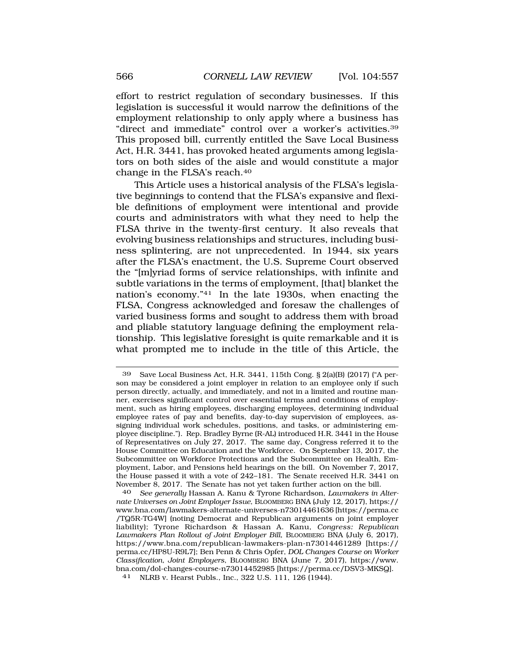effort to restrict regulation of secondary businesses. If this legislation is successful it would narrow the definitions of the employment relationship to only apply where a business has "direct and immediate" control over a worker's activities.39 This proposed bill, currently entitled the Save Local Business Act, H.R. 3441, has provoked heated arguments among legislators on both sides of the aisle and would constitute a major change in the FLSA's reach.40

This Article uses a historical analysis of the FLSA's legislative beginnings to contend that the FLSA's expansive and flexible definitions of employment were intentional and provide courts and administrators with what they need to help the FLSA thrive in the twenty-first century. It also reveals that evolving business relationships and structures, including business splintering, are not unprecedented. In 1944, six years after the FLSA's enactment, the U.S. Supreme Court observed the "[m]yriad forms of service relationships, with infinite and subtle variations in the terms of employment, [that] blanket the nation's economy."41 In the late 1930s, when enacting the FLSA, Congress acknowledged and foresaw the challenges of varied business forms and sought to address them with broad and pliable statutory language defining the employment relationship. This legislative foresight is quite remarkable and it is what prompted me to include in the title of this Article, the

40 *See generally* Hassan A. Kanu & Tyrone Richardson, *Lawmakers in Alternate Universes on Joint Employer Issue*, BLOOMBERG BNA (July 12, 2017), https:// www.bna.com/lawmakers-alternate-universes-n73014461636 [https://perma.cc /TQ5R-TG4W] (noting Democrat and Republican arguments on joint employer liability); Tyrone Richardson & Hassan A. Kanu, *Congress: Republican Lawmakers Plan Rollout of Joint Employer Bill*, BLOOMBERG BNA (July 6, 2017), https://www.bna.com/republican-lawmakers-plan-n73014461289 [https:// perma.cc/HP8U-R9L7]; Ben Penn & Chris Opfer, *DOL Changes Course on Worker Classification, Joint Employers*, BLOOMBERG BNA (June 7, 2017), https://www. bna.com/dol-changes-course-n73014452985 [https://perma.cc/DSV3-MKSQ].

41 NLRB v. Hearst Publs., Inc., 322 U.S. 111, 126 (1944).

<sup>39</sup> Save Local Business Act, H.R. 3441, 115th Cong. § 2(a)(B) (2017) ("A person may be considered a joint employer in relation to an employee only if such person directly, actually, and immediately, and not in a limited and routine manner, exercises significant control over essential terms and conditions of employment, such as hiring employees, discharging employees, determining individual employee rates of pay and benefits, day-to-day supervision of employees, assigning individual work schedules, positions, and tasks, or administering employee discipline."). Rep. Bradley Byrne (R-AL) introduced H.R. 3441 in the House of Representatives on July 27, 2017. The same day, Congress referred it to the House Committee on Education and the Workforce. On September 13, 2017, the Subcommittee on Workforce Protections and the Subcommittee on Health, Employment, Labor, and Pensions held hearings on the bill. On November 7, 2017, the House passed it with a vote of 242–181. The Senate received H.R. 3441 on November 8, 2017. The Senate has not yet taken further action on the bill.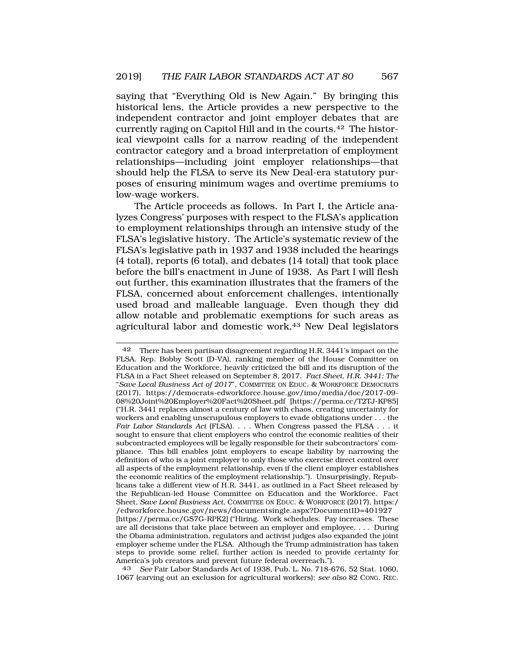saying that "Everything Old is New Again." By bringing this historical lens, the Article provides a new perspective to the independent contractor and joint employer debates that are currently raging on Capitol Hill and in the courts.42 The historical viewpoint calls for a narrow reading of the independent contractor category and a broad interpretation of employment relationships—including joint employer relationships—that should help the FLSA to serve its New Deal-era statutory purposes of ensuring minimum wages and overtime premiums to low-wage workers.

The Article proceeds as follows. In Part I, the Article analyzes Congress' purposes with respect to the FLSA's application to employment relationships through an intensive study of the FLSA's legislative history. The Article's systematic review of the FLSA's legislative path in 1937 and 1938 included the hearings (4 total), reports (6 total), and debates (14 total) that took place before the bill's enactment in June of 1938. As Part I will flesh out further, this examination illustrates that the framers of the FLSA, concerned about enforcement challenges, intentionally used broad and malleable language. Even though they did allow notable and problematic exemptions for such areas as agricultural labor and domestic work,<sup>43</sup> New Deal legislators

<sup>42</sup> There has been partisan disagreement regarding H.R. 3441's impact on the FLSA. Rep. Bobby Scott (D-VA), ranking member of the House Committee on Education and the Workforce, heavily criticized the bill and its disruption of the FLSA in a Fact Sheet released on September 8, 2017. *Fact Sheet, H.R. 3441: The*  "*Save Local Business Act of 2017*", COMMITTEE ON EDUC. & WORKFORCE DEMOCRATS (2017), https://democrats-edworkforce.house.gov/imo/media/doc/2017-09- 08%20Joint%20Employer%20Fact%20Sheet.pdf [https://perma.cc/T2TJ-KP85] ("H.R. 3441 replaces almost a century of law with chaos, creating uncertainty for workers and enabling unscrupulous employers to evade obligations under . . . the *Fair Labor Standards Act* (FLSA). . . . When Congress passed the FLSA . . . it sought to ensure that client employers who control the economic realities of their subcontracted employees will be legally responsible for their subcontractors' compliance. This bill enables joint employers to escape liability by narrowing the definition of who is a joint employer to only those who exercise direct control over all aspects of the employment relationship, even if the client employer establishes the economic realities of the employment relationship."). Unsurprisingly, Republicans take a different view of H.R. 3441, as outlined in a Fact Sheet released by the Republican-led House Committee on Education and the Workforce. Fact Sheet, *Save Local Business Act*, COMMITTEE ON EDUC. & WORKFORCE (2017), https:/ /edworkforce.house.gov/news/documentsingle.aspx?DocumentID=401927 [https://perma.cc/GS7G-RPK2] ("Hiring. Work schedules. Pay increases. These are all decisions that take place between an employer and employee. . . . During the Obama administration, regulators and activist judges also expanded the joint employer scheme under the FLSA. Although the Trump administration has taken steps to provide some relief, further action is needed to provide certainty for America's job creators and prevent future federal overreach.").

<sup>43</sup> *See* Fair Labor Standards Act of 1938, Pub. L. No. 718-676, 52 Stat. 1060, 1067 (carving out an exclusion for agricultural workers); *see also* 82 CONG. REC.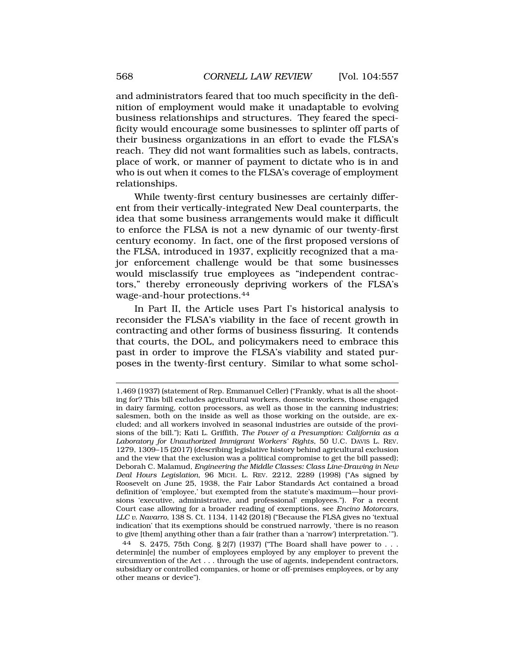and administrators feared that too much specificity in the definition of employment would make it unadaptable to evolving business relationships and structures. They feared the specificity would encourage some businesses to splinter off parts of their business organizations in an effort to evade the FLSA's reach. They did not want formalities such as labels, contracts, place of work, or manner of payment to dictate who is in and who is out when it comes to the FLSA's coverage of employment relationships.

While twenty-first century businesses are certainly different from their vertically-integrated New Deal counterparts, the idea that some business arrangements would make it difficult to enforce the FLSA is not a new dynamic of our twenty-first century economy. In fact, one of the first proposed versions of the FLSA, introduced in 1937, explicitly recognized that a major enforcement challenge would be that some businesses would misclassify true employees as "independent contractors," thereby erroneously depriving workers of the FLSA's wage-and-hour protections.44

In Part II, the Article uses Part I's historical analysis to reconsider the FLSA's viability in the face of recent growth in contracting and other forms of business fissuring. It contends that courts, the DOL, and policymakers need to embrace this past in order to improve the FLSA's viability and stated purposes in the twenty-first century. Similar to what some schol-

<sup>1,469 (1937) (</sup>statement of Rep. Emmanuel Celler) ("Frankly, what is all the shooting for? This bill excludes agricultural workers, domestic workers, those engaged in dairy farming, cotton processors, as well as those in the canning industries; salesmen, both on the inside as well as those working on the outside, are excluded; and all workers involved in seasonal industries are outside of the provisions of the bill."); Kati L. Griffith, *The Power of a Presumption: California as a Laboratory for Unauthorized Immigrant Workers' Rights*, 50 U.C. DAVIS L. REV. 1279, 1309–15 (2017) (describing legislative history behind agricultural exclusion and the view that the exclusion was a political compromise to get the bill passed); Deborah C. Malamud, *Engineering the Middle Classes: Class Line-Drawing in New Deal Hours Legislation*, 96 MICH. L. REV. 2212, 2289 (1998) ("As signed by Roosevelt on June 25, 1938, the Fair Labor Standards Act contained a broad definition of 'employee,' but exempted from the statute's maximum—hour provisions 'executive, administrative, and professional' employees."). For a recent Court case allowing for a broader reading of exemptions, see *Encino Motorcars, LLC v. Navarro*, 138 S. Ct. 1134, 1142 (2018) ("Because the FLSA gives no 'textual indication' that its exemptions should be construed narrowly, 'there is no reason to give [them] anything other than a fair (rather than a 'narrow') interpretation.'").

<sup>44</sup> S. 2475, 75th Cong. § 2(7) (1937) ("The Board shall have power to . . . determin[e] the number of employees employed by any employer to prevent the circumvention of the Act . . . through the use of agents, independent contractors, subsidiary or controlled companies, or home or off-premises employees, or by any other means or device").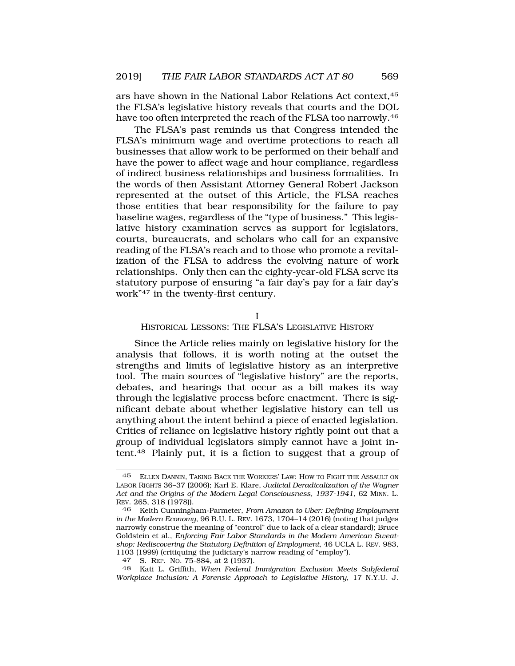ars have shown in the National Labor Relations Act context,45 the FLSA's legislative history reveals that courts and the DOL have too often interpreted the reach of the FLSA too narrowly.<sup>46</sup>

The FLSA's past reminds us that Congress intended the FLSA's minimum wage and overtime protections to reach all businesses that allow work to be performed on their behalf and have the power to affect wage and hour compliance, regardless of indirect business relationships and business formalities. In the words of then Assistant Attorney General Robert Jackson represented at the outset of this Article, the FLSA reaches those entities that bear responsibility for the failure to pay baseline wages, regardless of the "type of business." This legislative history examination serves as support for legislators, courts, bureaucrats, and scholars who call for an expansive reading of the FLSA's reach and to those who promote a revitalization of the FLSA to address the evolving nature of work relationships. Only then can the eighty-year-old FLSA serve its statutory purpose of ensuring "a fair day's pay for a fair day's work"47 in the twenty-first century.

I

HISTORICAL LESSONS: THE FLSA'S LEGISLATIVE HISTORY

Since the Article relies mainly on legislative history for the analysis that follows, it is worth noting at the outset the strengths and limits of legislative history as an interpretive tool. The main sources of "legislative history" are the reports, debates, and hearings that occur as a bill makes its way through the legislative process before enactment. There is significant debate about whether legislative history can tell us anything about the intent behind a piece of enacted legislation. Critics of reliance on legislative history rightly point out that a group of individual legislators simply cannot have a joint intent.48 Plainly put, it is a fiction to suggest that a group of

<sup>45</sup> ELLEN DANNIN, TAKING BACK THE WORKERS' LAW: HOW TO FIGHT THE ASSAULT ON LABOR RIGHTS 36–37 (2006); Karl E. Klare, *Judicial Deradicalization of the Wagner Act and the Origins of the Modern Legal Consciousness, 1937-1941*, 62 MINN. L. REV. 265, 318 (1978)).

<sup>46</sup> Keith Cunningham-Parmeter, *From Amazon to Uber: Defining Employment in the Modern Economy*, 96 B.U. L. REV. 1673, 1704–14 (2016) (noting that judges narrowly construe the meaning of "control" due to lack of a clear standard); Bruce Goldstein et al., *Enforcing Fair Labor Standards in the Modern American Sweatshop: Rediscovering the Statutory Definition of Employment*, 46 UCLA L. REV. 983, 1103 (1999) (critiquing the judiciary's narrow reading of "employ").

<sup>47</sup> S. REP. NO. 75-884, at 2 (1937).

<sup>48</sup> Kati L. Griffith, *When Federal Immigration Exclusion Meets Subfederal Workplace Inclusion: A Forensic Approach to Legislative History*, 17 N.Y.U. J.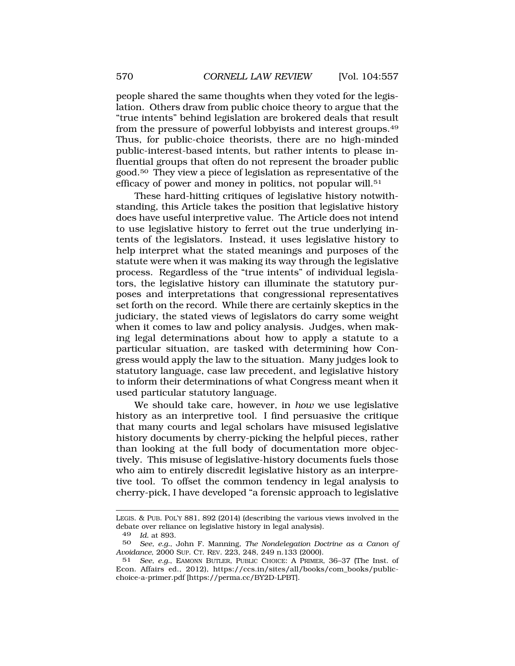people shared the same thoughts when they voted for the legislation. Others draw from public choice theory to argue that the "true intents" behind legislation are brokered deals that result from the pressure of powerful lobbyists and interest groups.49 Thus, for public-choice theorists, there are no high-minded public-interest-based intents, but rather intents to please influential groups that often do not represent the broader public good.50 They view a piece of legislation as representative of the efficacy of power and money in politics, not popular will.<sup>51</sup>

These hard-hitting critiques of legislative history notwithstanding, this Article takes the position that legislative history does have useful interpretive value. The Article does not intend to use legislative history to ferret out the true underlying intents of the legislators. Instead, it uses legislative history to help interpret what the stated meanings and purposes of the statute were when it was making its way through the legislative process. Regardless of the "true intents" of individual legislators, the legislative history can illuminate the statutory purposes and interpretations that congressional representatives set forth on the record. While there are certainly skeptics in the judiciary, the stated views of legislators do carry some weight when it comes to law and policy analysis. Judges, when making legal determinations about how to apply a statute to a particular situation, are tasked with determining how Congress would apply the law to the situation. Many judges look to statutory language, case law precedent, and legislative history to inform their determinations of what Congress meant when it used particular statutory language.

We should take care, however, in *how* we use legislative history as an interpretive tool. I find persuasive the critique that many courts and legal scholars have misused legislative history documents by cherry-picking the helpful pieces, rather than looking at the full body of documentation more objectively. This misuse of legislative-history documents fuels those who aim to entirely discredit legislative history as an interpretive tool. To offset the common tendency in legal analysis to cherry-pick, I have developed "a forensic approach to legislative

LEGIS. & PUB. POL'Y 881, 892 (2014) (describing the various views involved in the debate over reliance on legislative history in legal analysis).

<sup>49</sup> *Id.* at 893.

<sup>50</sup> *See, e.g.*, John F. Manning, *The Nondelegation Doctrine as a Canon of Avoidance*, 2000 SUP. CT. REV. 223, 248, 249 n.133 (2000).

<sup>51</sup> *See, e.g.*, EAMONN BUTLER, PUBLIC CHOICE: A PRIMER, 36–37 (The Inst. of Econ. Affairs ed., 2012), https://ccs.in/sites/all/books/com\_books/publicchoice-a-primer.pdf [https://perma.cc/BY2D-LPBT].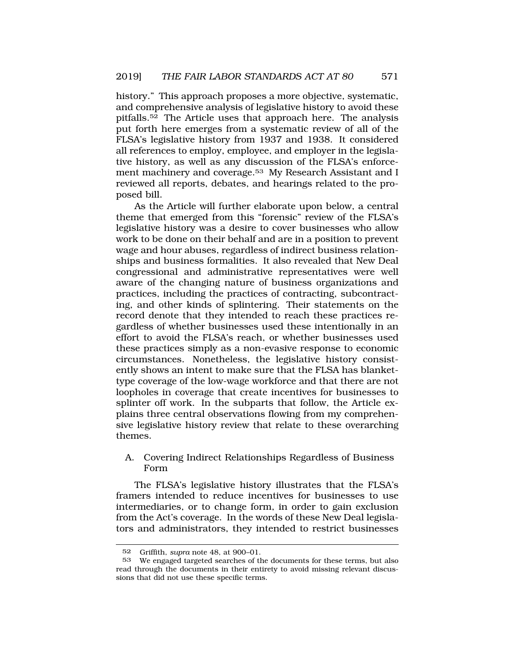history." This approach proposes a more objective, systematic, and comprehensive analysis of legislative history to avoid these pitfalls.52 The Article uses that approach here. The analysis put forth here emerges from a systematic review of all of the FLSA's legislative history from 1937 and 1938. It considered all references to employ, employee, and employer in the legislative history, as well as any discussion of the FLSA's enforcement machinery and coverage.53 My Research Assistant and I reviewed all reports, debates, and hearings related to the proposed bill.

As the Article will further elaborate upon below, a central theme that emerged from this "forensic" review of the FLSA's legislative history was a desire to cover businesses who allow work to be done on their behalf and are in a position to prevent wage and hour abuses, regardless of indirect business relationships and business formalities. It also revealed that New Deal congressional and administrative representatives were well aware of the changing nature of business organizations and practices, including the practices of contracting, subcontracting, and other kinds of splintering. Their statements on the record denote that they intended to reach these practices regardless of whether businesses used these intentionally in an effort to avoid the FLSA's reach, or whether businesses used these practices simply as a non-evasive response to economic circumstances. Nonetheless, the legislative history consistently shows an intent to make sure that the FLSA has blankettype coverage of the low-wage workforce and that there are not loopholes in coverage that create incentives for businesses to splinter off work. In the subparts that follow, the Article explains three central observations flowing from my comprehensive legislative history review that relate to these overarching themes.

## A. Covering Indirect Relationships Regardless of Business Form

The FLSA's legislative history illustrates that the FLSA's framers intended to reduce incentives for businesses to use intermediaries, or to change form, in order to gain exclusion from the Act's coverage. In the words of these New Deal legislators and administrators, they intended to restrict businesses

<sup>52</sup> Griffith, *supra* note 48, at 900–01.

<sup>53</sup> We engaged targeted searches of the documents for these terms, but also read through the documents in their entirety to avoid missing relevant discussions that did not use these specific terms.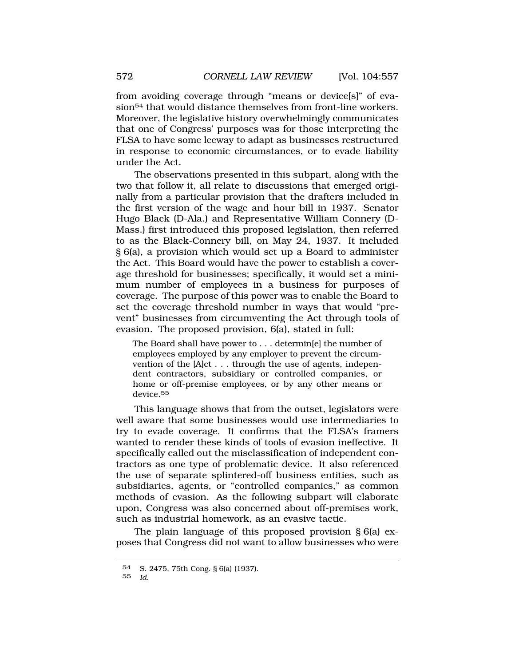from avoiding coverage through "means or device[s]" of evasion<sup>54</sup> that would distance themselves from front-line workers. Moreover, the legislative history overwhelmingly communicates that one of Congress' purposes was for those interpreting the FLSA to have some leeway to adapt as businesses restructured in response to economic circumstances, or to evade liability under the Act.

The observations presented in this subpart, along with the two that follow it, all relate to discussions that emerged originally from a particular provision that the drafters included in the first version of the wage and hour bill in 1937. Senator Hugo Black (D-Ala.) and Representative William Connery (D-Mass.) first introduced this proposed legislation, then referred to as the Black-Connery bill, on May 24, 1937. It included § 6(a), a provision which would set up a Board to administer the Act. This Board would have the power to establish a coverage threshold for businesses; specifically, it would set a minimum number of employees in a business for purposes of coverage. The purpose of this power was to enable the Board to set the coverage threshold number in ways that would "prevent" businesses from circumventing the Act through tools of evasion. The proposed provision, 6(a), stated in full:

The Board shall have power to . . . determin[e] the number of employees employed by any employer to prevent the circumvention of the [A]ct . . . through the use of agents, independent contractors, subsidiary or controlled companies, or home or off-premise employees, or by any other means or device.<sup>55</sup>

This language shows that from the outset, legislators were well aware that some businesses would use intermediaries to try to evade coverage. It confirms that the FLSA's framers wanted to render these kinds of tools of evasion ineffective. It specifically called out the misclassification of independent contractors as one type of problematic device. It also referenced the use of separate splintered-off business entities, such as subsidiaries, agents, or "controlled companies," as common methods of evasion. As the following subpart will elaborate upon, Congress was also concerned about off-premises work, such as industrial homework, as an evasive tactic.

The plain language of this proposed provision § 6(a) exposes that Congress did not want to allow businesses who were

<sup>54</sup> S. 2475, 75th Cong. § 6(a) (1937).

<sup>55</sup> *Id.*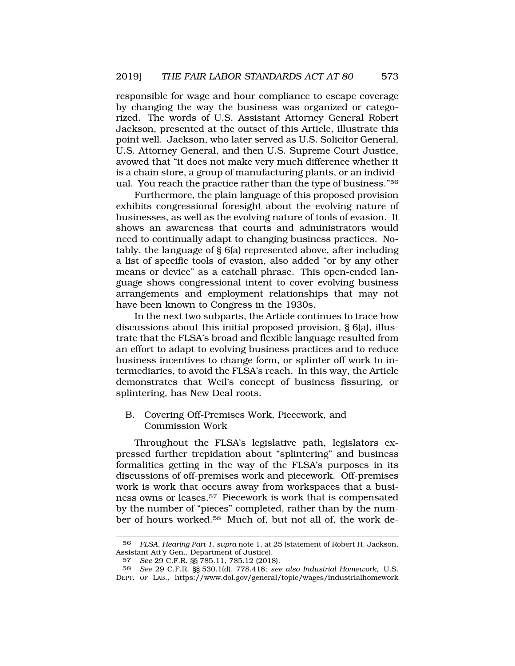responsible for wage and hour compliance to escape coverage by changing the way the business was organized or categorized. The words of U.S. Assistant Attorney General Robert Jackson, presented at the outset of this Article, illustrate this point well. Jackson, who later served as U.S. Solicitor General, U.S. Attorney General, and then U.S. Supreme Court Justice, avowed that "it does not make very much difference whether it is a chain store, a group of manufacturing plants, or an individual. You reach the practice rather than the type of business."56

Furthermore, the plain language of this proposed provision exhibits congressional foresight about the evolving nature of businesses, as well as the evolving nature of tools of evasion. It shows an awareness that courts and administrators would need to continually adapt to changing business practices. Notably, the language of  $\S$  6(a) represented above, after including a list of specific tools of evasion, also added "or by any other means or device" as a catchall phrase. This open-ended language shows congressional intent to cover evolving business arrangements and employment relationships that may not have been known to Congress in the 1930s.

In the next two subparts, the Article continues to trace how discussions about this initial proposed provision, § 6(a), illustrate that the FLSA's broad and flexible language resulted from an effort to adapt to evolving business practices and to reduce business incentives to change form, or splinter off work to intermediaries, to avoid the FLSA's reach. In this way, the Article demonstrates that Weil's concept of business fissuring, or splintering, has New Deal roots.

B. Covering Off-Premises Work, Piecework, and Commission Work

Throughout the FLSA's legislative path, legislators expressed further trepidation about "splintering" and business formalities getting in the way of the FLSA's purposes in its discussions of off-premises work and piecework. Off-premises work is work that occurs away from workspaces that a business owns or leases.57 Piecework is work that is compensated by the number of "pieces" completed, rather than by the number of hours worked.58 Much of, but not all of, the work de-

<sup>56</sup> *FLSA, Hearing Part 1*, *supra* note 1, at 25 (statement of Robert H. Jackson, Assistant Att'y Gen., Department of Justice).

<sup>57</sup> *See* 29 C.F.R. §§ 785.11, 785.12 (2018).

<sup>58</sup> *See* 29 C.F.R. §§ 530.1(d), 778.418; *see also Industrial Homework*, U.S. DEPT. OF LAB., https://www.dol.gov/general/topic/wages/industrialhomework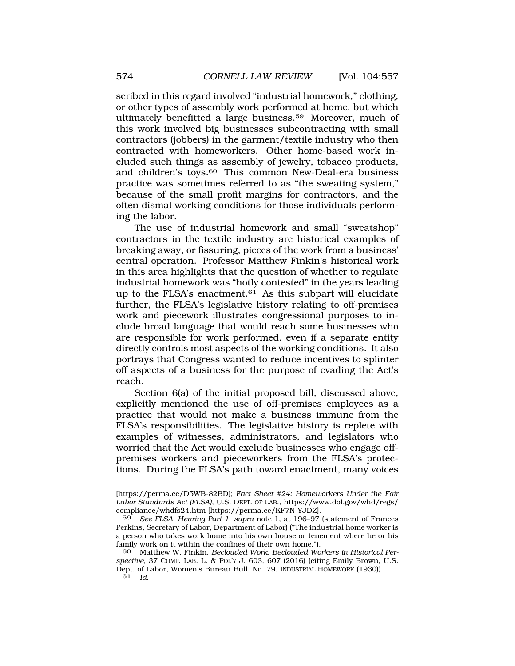scribed in this regard involved "industrial homework," clothing, or other types of assembly work performed at home, but which ultimately benefitted a large business.59 Moreover, much of this work involved big businesses subcontracting with small contractors (jobbers) in the garment/textile industry who then contracted with homeworkers. Other home-based work included such things as assembly of jewelry, tobacco products, and children's toys.<sup>60</sup> This common New-Deal-era business practice was sometimes referred to as "the sweating system," because of the small profit margins for contractors, and the often dismal working conditions for those individuals performing the labor.

The use of industrial homework and small "sweatshop" contractors in the textile industry are historical examples of breaking away, or fissuring, pieces of the work from a business' central operation. Professor Matthew Finkin's historical work in this area highlights that the question of whether to regulate industrial homework was "hotly contested" in the years leading up to the FLSA's enactment.<sup>61</sup> As this subpart will elucidate further, the FLSA's legislative history relating to off-premises work and piecework illustrates congressional purposes to include broad language that would reach some businesses who are responsible for work performed, even if a separate entity directly controls most aspects of the working conditions. It also portrays that Congress wanted to reduce incentives to splinter off aspects of a business for the purpose of evading the Act's reach.

Section 6(a) of the initial proposed bill, discussed above, explicitly mentioned the use of off-premises employees as a practice that would not make a business immune from the FLSA's responsibilities. The legislative history is replete with examples of witnesses, administrators, and legislators who worried that the Act would exclude businesses who engage offpremises workers and pieceworkers from the FLSA's protections. During the FLSA's path toward enactment, many voices

<sup>[</sup>https://perma.cc/D5WB-82BD]; *Fact Sheet #24: Homeworkers Under the Fair Labor Standards Act (FLSA)*, U.S. DEPT. OF LAB., https://www.dol.gov/whd/regs/ compliance/whdfs24.htm [https://perma.cc/KF7N-YJDZ].

<sup>59</sup> *See FLSA, Hearing Part 1*, *supra* note 1, at 196–97 (statement of Frances Perkins, Secretary of Labor, Department of Labor) ("The industrial home worker is a person who takes work home into his own house or tenement where he or his family work on it within the confines of their own home.").

<sup>60</sup> Matthew W. Finkin, *Beclouded Work, Beclouded Workers in Historical Perspective*, 37 COMP. LAB. L. & POL'Y J. 603, 607 (2016) (citing Emily Brown, U.S. Dept. of Labor, Women's Bureau Bull. No. 79, INDUSTRIAL HOMEWORK (1930)). 61 *Id.*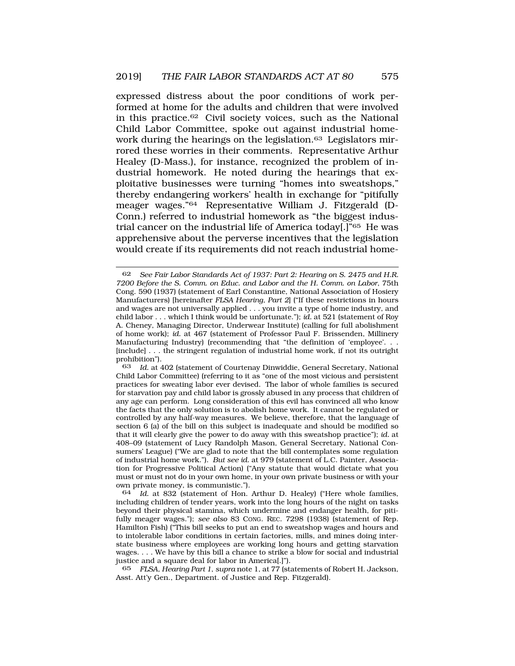expressed distress about the poor conditions of work performed at home for the adults and children that were involved in this practice.62 Civil society voices, such as the National Child Labor Committee, spoke out against industrial homework during the hearings on the legislation.<sup>63</sup> Legislators mirrored these worries in their comments. Representative Arthur Healey (D-Mass.), for instance, recognized the problem of industrial homework. He noted during the hearings that exploitative businesses were turning "homes into sweatshops," thereby endangering workers' health in exchange for "pitifully meager wages."64 Representative William J. Fitzgerald (D-Conn.) referred to industrial homework as "the biggest industrial cancer on the industrial life of America today[.]"65 He was apprehensive about the perverse incentives that the legislation would create if its requirements did not reach industrial home-

<sup>62</sup> *See Fair Labor Standards Act of 1937: Part 2: Hearing on S. 2475 and H.R. 7200 Before the S. Comm. on Educ. and Labor and the H. Comm. on Labor*, 75th Cong. 590 (1937) (statement of Earl Constantine, National Association of Hosiery Manufacturers) [hereinafter *FLSA Hearing, Part 2*] ("If these restrictions in hours and wages are not universally applied . . . you invite a type of home industry, and child labor . . . which I think would be unfortunate."); *id.* at 521 (statement of Roy A. Cheney, Managing Director, Underwear Institute) (calling for full abolishment of home work); *id.* at 467 (statement of Professor Paul F. Brissenden, Millinery Manufacturing Industry) (recommending that "the definition of 'employee'. . . [include] . . . the stringent regulation of industrial home work, if not its outright prohibition").<br>63 Id at 4

Id. at 402 (statement of Courtenay Dinwiddie, General Secretary, National Child Labor Committee) (referring to it as "one of the most vicious and persistent practices for sweating labor ever devised. The labor of whole families is secured for starvation pay and child labor is grossly abused in any process that children of any age can perform. Long consideration of this evil has convinced all who know the facts that the only solution is to abolish home work. It cannot be regulated or controlled by any half-way measures. We believe, therefore, that the language of section 6 (a) of the bill on this subject is inadequate and should be modified so that it will clearly give the power to do away with this sweatshop practice"); *id.* at 408–09 (statement of Lucy Randolph Mason, General Secretary, National Consumers' League) ("We are glad to note that the bill contemplates some regulation of industrial home work."). *But see id.* at 979 (statement of L.C. Painter, Association for Progressive Political Action) ("Any statute that would dictate what you must or must not do in your own home, in your own private business or with your own private money, is communistic.").

<sup>64</sup> *Id.* at 832 (statement of Hon. Arthur D. Healey) ("Here whole families, including children of tender years, work into the long hours of the night on tasks beyond their physical stamina, which undermine and endanger health, for pitifully meager wages."); *see also* 83 CONG. REC. 7298 (1938) (statement of Rep. Hamilton Fish) ("This bill seeks to put an end to sweatshop wages and hours and to intolerable labor conditions in certain factories, mills, and mines doing interstate business where employees are working long hours and getting starvation wages. . . . We have by this bill a chance to strike a blow for social and industrial justice and a square deal for labor in America[.]").

<sup>65</sup> *FLSA, Hearing Part 1*, *supra* note 1, at 77 (statements of Robert H. Jackson, Asst. Att'y Gen., Department. of Justice and Rep. Fitzgerald).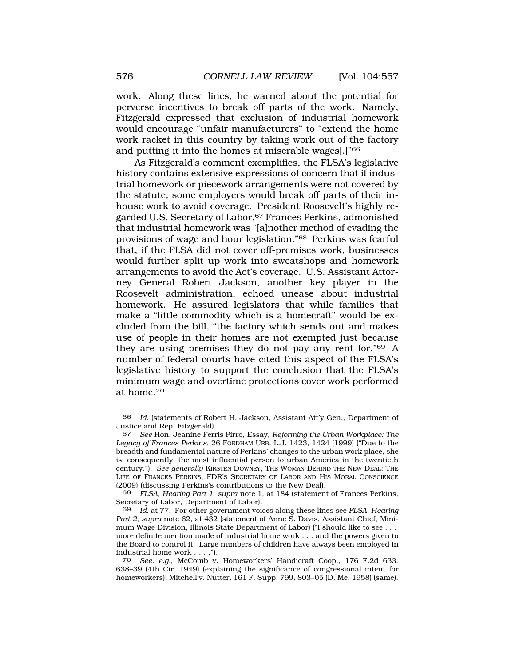work. Along these lines, he warned about the potential for perverse incentives to break off parts of the work. Namely, Fitzgerald expressed that exclusion of industrial homework would encourage "unfair manufacturers" to "extend the home work racket in this country by taking work out of the factory and putting it into the homes at miserable wages[.]"66

As Fitzgerald's comment exemplifies, the FLSA's legislative history contains extensive expressions of concern that if industrial homework or piecework arrangements were not covered by the statute, some employers would break off parts of their inhouse work to avoid coverage. President Roosevelt's highly regarded U.S. Secretary of Labor, <sup>67</sup> Frances Perkins, admonished that industrial homework was "[a]nother method of evading the provisions of wage and hour legislation."68 Perkins was fearful that, if the FLSA did not cover off-premises work, businesses would further split up work into sweatshops and homework arrangements to avoid the Act's coverage. U.S. Assistant Attorney General Robert Jackson, another key player in the Roosevelt administration, echoed unease about industrial homework. He assured legislators that while families that make a "little commodity which is a homecraft" would be excluded from the bill, "the factory which sends out and makes use of people in their homes are not exempted just because they are using premises they do not pay any rent for."69 A number of federal courts have cited this aspect of the FLSA's legislative history to support the conclusion that the FLSA's minimum wage and overtime protections cover work performed at home.70

<sup>66</sup> *Id.* (statements of Robert H. Jackson, Assistant Att'y Gen., Department of Justice and Rep. Fitzgerald).

<sup>67</sup> *See* Hon. Jeanine Ferris Pirro, Essay, *Reforming the Urban Workplace: The Legacy of Frances Perkins*, 26 FORDHAM URB. L.J. 1423, 1424 (1999) ("Due to the breadth and fundamental nature of Perkins' changes to the urban work place, she is, consequently, the most influential person to urban America in the twentieth century."). *See generally* KIRSTEN DOWNEY, THE WOMAN BEHIND THE NEW DEAL: THE LIFE OF FRANCES PERKINS, FDR'S SECRETARY OF LABOR AND HIS MORAL CONSCIENCE (2009) (discussing Perkins's contributions to the New Deal).

<sup>68</sup> *FLSA, Hearing Part 1*, *supra* note 1, at 184 (statement of Frances Perkins, Secretary of Labor, Department of Labor).

<sup>69</sup> *Id.* at 77. For other government voices along these lines see *FLSA, Hearing Part 2*, *supra* note 62, at 432 (statement of Anne S. Davis, Assistant Chief, Minimum Wage Division, Illinois State Department of Labor) ("I should like to see . . . more definite mention made of industrial home work . . . and the powers given to the Board to control it. Large numbers of children have always been employed in industrial home work . . . .").

<sup>70</sup> *See, e.g.*, McComb v. Homeworkers' Handicraft Coop., 176 F.2d 633, 638–39 (4th Cir. 1949) (explaining the significance of congressional intent for homeworkers); Mitchell v. Nutter, 161 F. Supp. 799, 803–05 (D. Me. 1958) (same).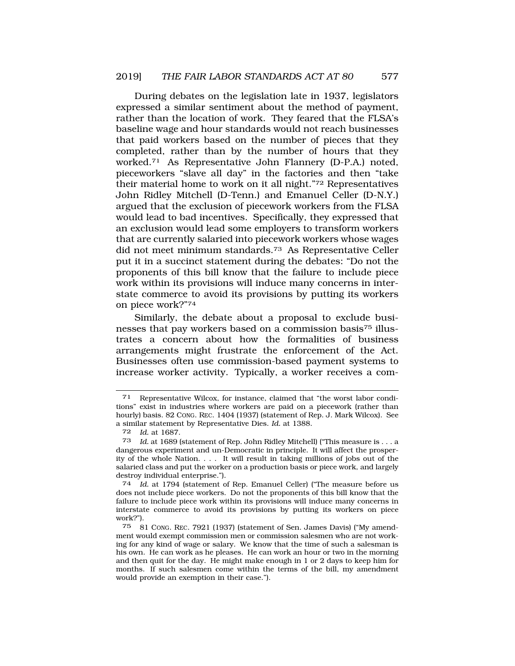During debates on the legislation late in 1937, legislators expressed a similar sentiment about the method of payment, rather than the location of work. They feared that the FLSA's baseline wage and hour standards would not reach businesses that paid workers based on the number of pieces that they completed, rather than by the number of hours that they worked.71 As Representative John Flannery (D-P.A.) noted, pieceworkers "slave all day" in the factories and then "take their material home to work on it all night."72 Representatives John Ridley Mitchell (D-Tenn.) and Emanuel Celler (D-N.Y.) argued that the exclusion of piecework workers from the FLSA would lead to bad incentives. Specifically, they expressed that an exclusion would lead some employers to transform workers that are currently salaried into piecework workers whose wages did not meet minimum standards.73 As Representative Celler put it in a succinct statement during the debates: "Do not the proponents of this bill know that the failure to include piece work within its provisions will induce many concerns in interstate commerce to avoid its provisions by putting its workers on piece work?"74

Similarly, the debate about a proposal to exclude businesses that pay workers based on a commission basis75 illustrates a concern about how the formalities of business arrangements might frustrate the enforcement of the Act. Businesses often use commission-based payment systems to increase worker activity. Typically, a worker receives a com-

<sup>71</sup> Representative Wilcox, for instance, claimed that "the worst labor conditions" exist in industries where workers are paid on a piecework (rather than hourly) basis. 82 CONG. REC. 1404 (1937) (statement of Rep. J. Mark Wilcox). See a similar statement by Representative Dies. *Id.* at 1388.

<sup>72</sup> *Id.* at 1687.

Id. at 1689 (statement of Rep. John Ridley Mitchell) ("This measure is . . . a dangerous experiment and un-Democratic in principle. It will affect the prosperity of the whole Nation. . . . It will result in taking millions of jobs out of the salaried class and put the worker on a production basis or piece work, and largely destroy individual enterprise.").

<sup>74</sup> *Id.* at 1794 (statement of Rep. Emanuel Celler) ("The measure before us does not include piece workers. Do not the proponents of this bill know that the failure to include piece work within its provisions will induce many concerns in interstate commerce to avoid its provisions by putting its workers on piece work?").

<sup>75 81</sup> CONG. REC. 7921 (1937) (statement of Sen. James Davis) ("My amendment would exempt commission men or commission salesmen who are not working for any kind of wage or salary. We know that the time of such a salesman is his own. He can work as he pleases. He can work an hour or two in the morning and then quit for the day. He might make enough in 1 or 2 days to keep him for months. If such salesmen come within the terms of the bill, my amendment would provide an exemption in their case.").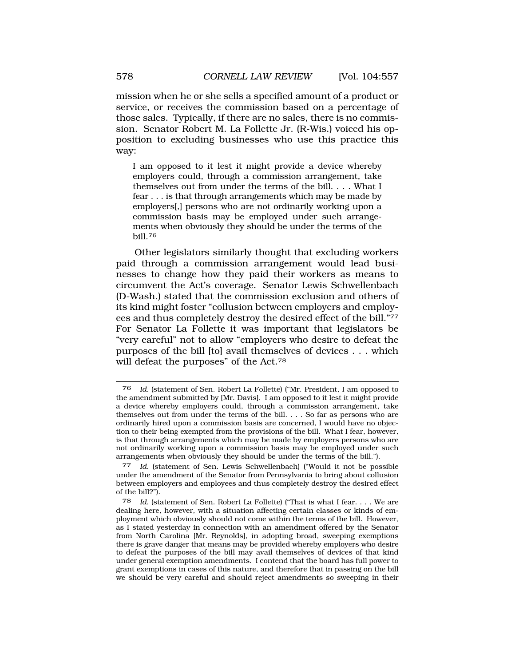mission when he or she sells a specified amount of a product or service, or receives the commission based on a percentage of those sales. Typically, if there are no sales, there is no commission. Senator Robert M. La Follette Jr. (R-Wis.) voiced his opposition to excluding businesses who use this practice this way:

I am opposed to it lest it might provide a device whereby employers could, through a commission arrangement, take themselves out from under the terms of the bill. . . . What I fear . . . is that through arrangements which may be made by employers[,] persons who are not ordinarily working upon a commission basis may be employed under such arrangements when obviously they should be under the terms of the bill.<sup>76</sup>

Other legislators similarly thought that excluding workers paid through a commission arrangement would lead businesses to change how they paid their workers as means to circumvent the Act's coverage. Senator Lewis Schwellenbach (D-Wash.) stated that the commission exclusion and others of its kind might foster "collusion between employers and employees and thus completely destroy the desired effect of the bill."77 For Senator La Follette it was important that legislators be "very careful" not to allow "employers who desire to defeat the purposes of the bill [to] avail themselves of devices . . . which will defeat the purposes" of the Act.78

<sup>76</sup> *Id.* (statement of Sen. Robert La Follette) ("Mr. President, I am opposed to the amendment submitted by [Mr. Davis]. I am opposed to it lest it might provide a device whereby employers could, through a commission arrangement, take themselves out from under the terms of the bill. . . . So far as persons who are ordinarily hired upon a commission basis are concerned, I would have no objection to their being exempted from the provisions of the bill. What I fear, however, is that through arrangements which may be made by employers persons who are not ordinarily working upon a commission basis may be employed under such arrangements when obviously they should be under the terms of the bill.").

<sup>77</sup> *Id.* (statement of Sen. Lewis Schwellenbach) ("Would it not be possible under the amendment of the Senator from Pennsylvania to bring about collusion between employers and employees and thus completely destroy the desired effect of the bill?").

<sup>78</sup> *Id.* (statement of Sen. Robert La Follette) ("That is what I fear. . . . We are dealing here, however, with a situation affecting certain classes or kinds of employment which obviously should not come within the terms of the bill. However, as I stated yesterday in connection with an amendment offered by the Senator from North Carolina [Mr. Reynolds], in adopting broad, sweeping exemptions there is grave danger that means may be provided whereby employers who desire to defeat the purposes of the bill may avail themselves of devices of that kind under general exemption amendments. I contend that the board has full power to grant exemptions in cases of this nature, and therefore that in passing on the bill we should be very careful and should reject amendments so sweeping in their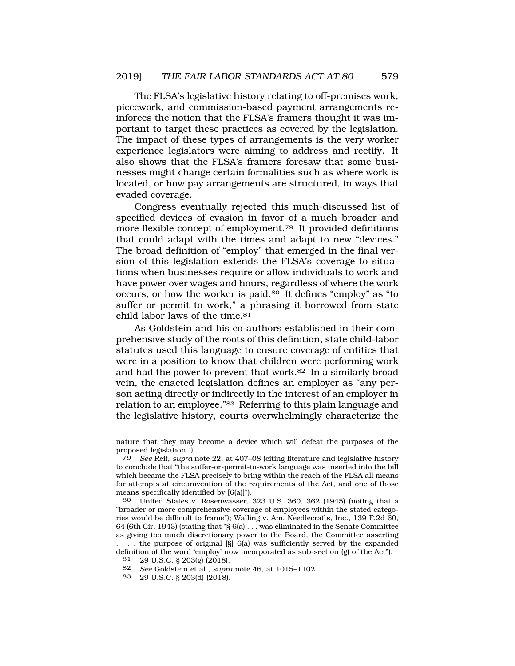The FLSA's legislative history relating to off-premises work, piecework, and commission-based payment arrangements reinforces the notion that the FLSA's framers thought it was important to target these practices as covered by the legislation. The impact of these types of arrangements is the very worker experience legislators were aiming to address and rectify. It also shows that the FLSA's framers foresaw that some businesses might change certain formalities such as where work is located, or how pay arrangements are structured, in ways that evaded coverage.

Congress eventually rejected this much-discussed list of specified devices of evasion in favor of a much broader and more flexible concept of employment.<sup>79</sup> It provided definitions that could adapt with the times and adapt to new "devices." The broad definition of "employ" that emerged in the final version of this legislation extends the FLSA's coverage to situations when businesses require or allow individuals to work and have power over wages and hours, regardless of where the work occurs, or how the worker is paid.80 It defines "employ" as "to suffer or permit to work," a phrasing it borrowed from state child labor laws of the time.<sup>81</sup>

As Goldstein and his co-authors established in their comprehensive study of the roots of this definition, state child-labor statutes used this language to ensure coverage of entities that were in a position to know that children were performing work and had the power to prevent that work.82 In a similarly broad vein, the enacted legislation defines an employer as "any person acting directly or indirectly in the interest of an employer in relation to an employee."83 Referring to this plain language and the legislative history, courts overwhelmingly characterize the

nature that they may become a device which will defeat the purposes of the proposed legislation.").

<sup>79</sup> *See* Reif, *supra* note 22, at 407–08 (citing literature and legislative history to conclude that "the suffer-or-permit-to-work language was inserted into the bill which became the FLSA precisely to bring within the reach of the FLSA all means for attempts at circumvention of the requirements of the Act, and one of those means specifically identified by [6(a)]").

<sup>80</sup> United States v. Rosenwasser, 323 U.S. 360, 362 (1945) (noting that a "broader or more comprehensive coverage of employees within the stated categories would be difficult to frame"); Walling v. Am. Needlecrafts, Inc., 139 F.2d 60, 64 (6th Cir. 1943) (stating that "§ 6(a) . . . was eliminated in the Senate Committee as giving too much discretionary power to the Board, the Committee asserting . . . . the purpose of original [§] 6(a) was sufficiently served by the expanded definition of the word 'employ' now incorporated as sub-section (g) of the Act").

<sup>81 29</sup> U.S.C. § 203(g) (2018).

<sup>82</sup> *See* Goldstein et al., *supra* note 46, at 1015–1102.

<sup>83 29</sup> U.S.C. § 203(d) (2018).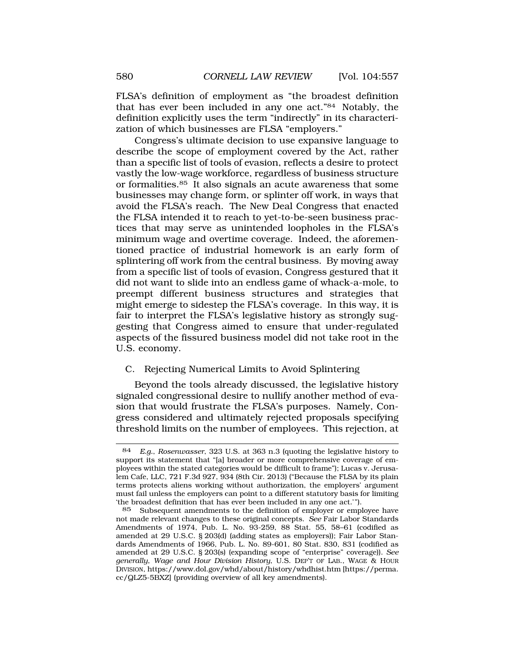FLSA's definition of employment as "the broadest definition that has ever been included in any one act."84 Notably, the definition explicitly uses the term "indirectly" in its characterization of which businesses are FLSA "employers."

Congress's ultimate decision to use expansive language to describe the scope of employment covered by the Act, rather than a specific list of tools of evasion, reflects a desire to protect vastly the low-wage workforce, regardless of business structure or formalities.85 It also signals an acute awareness that some businesses may change form, or splinter off work, in ways that avoid the FLSA's reach. The New Deal Congress that enacted the FLSA intended it to reach to yet-to-be-seen business practices that may serve as unintended loopholes in the FLSA's minimum wage and overtime coverage. Indeed, the aforementioned practice of industrial homework is an early form of splintering off work from the central business. By moving away from a specific list of tools of evasion, Congress gestured that it did not want to slide into an endless game of whack-a-mole, to preempt different business structures and strategies that might emerge to sidestep the FLSA's coverage. In this way, it is fair to interpret the FLSA's legislative history as strongly suggesting that Congress aimed to ensure that under-regulated aspects of the fissured business model did not take root in the U.S. economy.

### C. Rejecting Numerical Limits to Avoid Splintering

Beyond the tools already discussed, the legislative history signaled congressional desire to nullify another method of evasion that would frustrate the FLSA's purposes. Namely, Congress considered and ultimately rejected proposals specifying threshold limits on the number of employees. This rejection, at

<sup>84</sup> *E.g.*, *Rosenwasser*, 323 U.S. at 363 n.3 (quoting the legislative history to support its statement that "[a] broader or more comprehensive coverage of employees within the stated categories would be difficult to frame"); Lucas v. Jerusalem Cafe, LLC, 721 F.3d 927, 934 (8th Cir. 2013) ("Because the FLSA by its plain terms protects aliens working without authorization, the employers' argument must fail unless the employers can point to a different statutory basis for limiting 'the broadest definition that has ever been included in any one act.'").

<sup>85</sup> Subsequent amendments to the definition of employer or employee have not made relevant changes to these original concepts. *See* Fair Labor Standards Amendments of 1974, Pub. L. No. 93-259, 88 Stat. 55, 58–61 (codified as amended at 29 U.S.C. § 203(d) (adding states as employers)); Fair Labor Standards Amendments of 1966, Pub. L. No. 89-601, 80 Stat. 830, 831 (codified as amended at 29 U.S.C. § 203(s) (expanding scope of "enterprise" coverage)). *See generally*, *Wage and Hour Division History*, U.S. DEP'T OF LAB., WAGE & HOUR DIVISION, https://www.dol.gov/whd/about/history/whdhist.htm [https://perma. cc/QLZ5-5BXZ] (providing overview of all key amendments).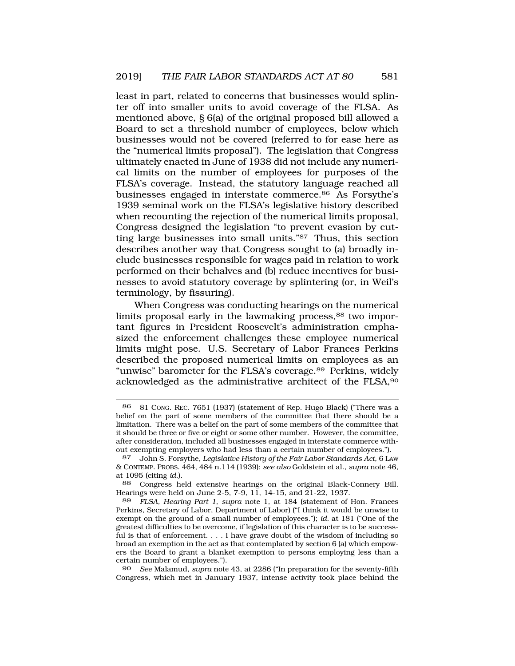least in part, related to concerns that businesses would splinter off into smaller units to avoid coverage of the FLSA. As mentioned above, § 6(a) of the original proposed bill allowed a Board to set a threshold number of employees, below which businesses would not be covered (referred to for ease here as the "numerical limits proposal"). The legislation that Congress ultimately enacted in June of 1938 did not include any numerical limits on the number of employees for purposes of the FLSA's coverage. Instead, the statutory language reached all businesses engaged in interstate commerce.86 As Forsythe's 1939 seminal work on the FLSA's legislative history described when recounting the rejection of the numerical limits proposal, Congress designed the legislation "to prevent evasion by cutting large businesses into small units."87 Thus, this section describes another way that Congress sought to (a) broadly include businesses responsible for wages paid in relation to work performed on their behalves and (b) reduce incentives for businesses to avoid statutory coverage by splintering (or, in Weil's terminology, by fissuring).

When Congress was conducting hearings on the numerical limits proposal early in the lawmaking process,<sup>88</sup> two important figures in President Roosevelt's administration emphasized the enforcement challenges these employee numerical limits might pose. U.S. Secretary of Labor Frances Perkins described the proposed numerical limits on employees as an "unwise" barometer for the FLSA's coverage.<sup>89</sup> Perkins, widely acknowledged as the administrative architect of the FLSA,90

88 Congress held extensive hearings on the original Black-Connery Bill. Hearings were held on June 2-5, 7-9, 11, 14-15, and 21-22, 1937.

<sup>86 81</sup> CONG. REC. 7651 (1937) (statement of Rep. Hugo Black) ("There was a belief on the part of some members of the committee that there should be a limitation. There was a belief on the part of some members of the committee that it should be three or five or eight or some other number. However, the committee, after consideration, included all businesses engaged in interstate commerce without exempting employers who had less than a certain number of employees.").

<sup>87</sup> John S. Forsythe, *Legislative History of the Fair Labor Standards Act*, 6 LAW & CONTEMP. PROBS. 464, 484 n.114 (1939); *see also* Goldstein et al., *supra* note 46, at 1095 (citing *id.*).

<sup>89</sup> *FLSA, Hearing Part 1*, *supra* note 1, at 184 (statement of Hon. Frances Perkins, Secretary of Labor, Department of Labor) ("I think it would be unwise to exempt on the ground of a small number of employees."); *id.* at 181 ("One of the greatest difficulties to be overcome, if legislation of this character is to be successful is that of enforcement. . . . I have grave doubt of the wisdom of including so broad an exemption in the act as that contemplated by section 6 (a) which empowers the Board to grant a blanket exemption to persons employing less than a certain number of employees.").

<sup>90</sup> *See* Malamud, *supra* note 43, at 2286 ("In preparation for the seventy-fifth Congress, which met in January 1937, intense activity took place behind the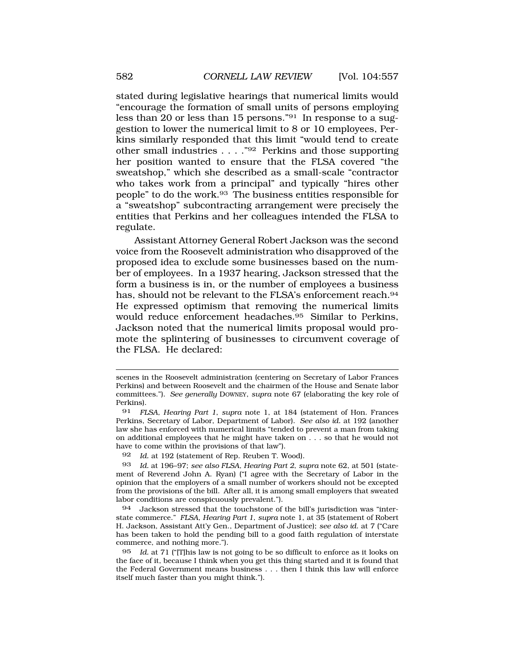stated during legislative hearings that numerical limits would "encourage the formation of small units of persons employing less than 20 or less than 15 persons."91 In response to a suggestion to lower the numerical limit to 8 or 10 employees, Perkins similarly responded that this limit "would tend to create other small industries . . . ."92 Perkins and those supporting her position wanted to ensure that the FLSA covered "the sweatshop," which she described as a small-scale "contractor who takes work from a principal" and typically "hires other people" to do the work.93 The business entities responsible for a "sweatshop" subcontracting arrangement were precisely the entities that Perkins and her colleagues intended the FLSA to regulate.

Assistant Attorney General Robert Jackson was the second voice from the Roosevelt administration who disapproved of the proposed idea to exclude some businesses based on the number of employees. In a 1937 hearing, Jackson stressed that the form a business is in, or the number of employees a business has, should not be relevant to the FLSA's enforcement reach.<sup>94</sup> He expressed optimism that removing the numerical limits would reduce enforcement headaches.95 Similar to Perkins, Jackson noted that the numerical limits proposal would promote the splintering of businesses to circumvent coverage of the FLSA. He declared:

scenes in the Roosevelt administration (centering on Secretary of Labor Frances Perkins) and between Roosevelt and the chairmen of the House and Senate labor committees."). *See generally* DOWNEY, *supra* note 67 (elaborating the key role of Perkins).

<sup>91</sup> *FLSA, Hearing Part 1*, *supra* note 1, at 184 (statement of Hon. Frances Perkins, Secretary of Labor, Department of Labor). *See also id.* at 192 (another law she has enforced with numerical limits "tended to prevent a man from taking on additional employees that he might have taken on . . . so that he would not have to come within the provisions of that law").

<sup>92</sup> *Id.* at 192 (statement of Rep. Reuben T. Wood).

<sup>93</sup> *Id.* at 196–97; *see also FLSA, Hearing Part 2*, *supra* note 62, at 501 (statement of Reverend John A. Ryan) ("I agree with the Secretary of Labor in the opinion that the employers of a small number of workers should not be excepted from the provisions of the bill. After all, it is among small employers that sweated labor conditions are conspicuously prevalent.").

<sup>94</sup> Jackson stressed that the touchstone of the bill's jurisdiction was "interstate commerce." *FLSA, Hearing Part 1*, *supra* note 1, at 35 (statement of Robert H. Jackson, Assistant Att'y Gen., Department of Justice); *see also id*. at 7 ("Care has been taken to hold the pending bill to a good faith regulation of interstate commerce, and nothing more.").

<sup>95</sup> *Id.* at 71 ("[T]his law is not going to be so difficult to enforce as it looks on the face of it, because I think when you get this thing started and it is found that the Federal Government means business . . . then I think this law will enforce itself much faster than you might think.").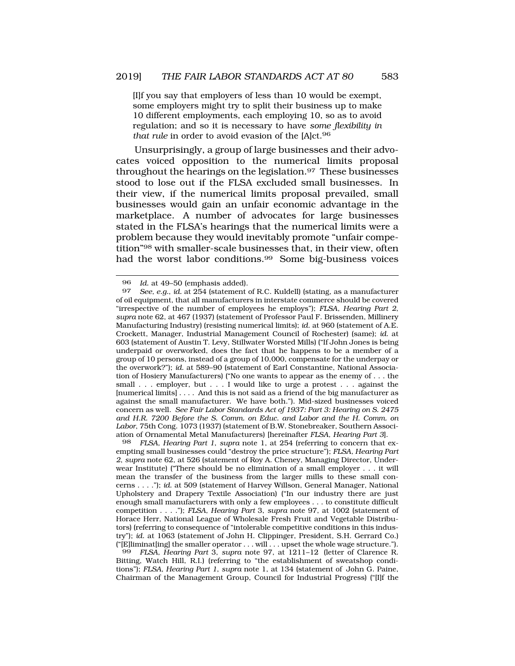[I]f you say that employers of less than 10 would be exempt, some employers might try to split their business up to make 10 different employments, each employing 10, so as to avoid regulation; and so it is necessary to have *some flexibility in that rule* in order to avoid evasion of the [A]ct.96

Unsurprisingly, a group of large businesses and their advocates voiced opposition to the numerical limits proposal throughout the hearings on the legislation.97 These businesses stood to lose out if the FLSA excluded small businesses. In their view, if the numerical limits proposal prevailed, small businesses would gain an unfair economic advantage in the marketplace. A number of advocates for large businesses stated in the FLSA's hearings that the numerical limits were a problem because they would inevitably promote "unfair competition"98 with smaller-scale businesses that, in their view, often had the worst labor conditions.99 Some big-business voices

98 *FLSA, Hearing Part 1*, *supra* note 1, at 254 (referring to concern that exempting small businesses could "destroy the price structure"); *FLSA, Hearing Part 2*, *supra* note 62, at 526 (statement of Roy A. Cheney, Managing Director, Underwear Institute) ("There should be no elimination of a small employer . . . it will mean the transfer of the business from the larger mills to these small concerns . . . ."); *id*. at 509 (statement of Harvey Willson, General Manager, National Upholstery and Drapery Textile Association) ("In our industry there are just enough small manufacturers with only a few employees . . . to constitute difficult competition . . . ."); *FLSA, Hearing Part* 3, *supra* note 97, at 1002 (statement of Horace Herr, National League of Wholesale Fresh Fruit and Vegetable Distributors) (referring to consequence of "intolerable competitive conditions in this industry"); *id*. at 1063 (statement of John H. Clippinger, President, S.H. Gerrard Co.) ("[E]liminat[ing] the smaller operator . . . will . . . upset the whole wage structure.").

99 *FLSA, Hearing Part* 3, *supra* note 97, at 1211–12 (letter of Clarence R. Bitting, Watch Hill, R.I.) (referring to "the establishment of sweatshop conditions"); *FLSA, Hearing Part 1*, *supra* note 1, at 134 (statement of John G. Paine, Chairman of the Management Group, Council for Industrial Progress) ("[I]f the

<sup>96</sup> *Id.* at 49–50 (emphasis added).<br>97 *See e g id at* 254 (statement of

<sup>97</sup> *See, e.g.*, *id.* at 254 (statement of R.C. Kuldell) (stating, as a manufacturer of oil equipment, that all manufacturers in interstate commerce should be covered "irrespective of the number of employees he employs"); *FLSA, Hearing Part 2*, *supra* note 62, at 467 (1937) (statement of Professor Paul F. Brissenden, Millinery Manufacturing Industry) (resisting numerical limits); *id*. at 960 (statement of A.E. Crockett, Manager, Industrial Management Council of Rochester) (same); *id*. at 603 (statement of Austin T. Levy, Stillwater Worsted Mills) ("If John Jones is being underpaid or overworked, does the fact that he happens to be a member of a group of 10 persons, instead of a group of 10,000, compensate for the underpay or the overwork?"); *id*. at 589–90 (statement of Earl Constantine, National Association of Hosiery Manufacturers) ("No one wants to appear as the enemy of . . . the small . . . employer, but . . . I would like to urge a protest . . . against the [numerical limits] . . . . And this is not said as a friend of the big manufacturer as against the small manufacturer. We have both."). Mid-sized businesses voiced concern as well. *See Fair Labor Standards Act of 1937: Part 3: Hearing on S. 2475 and H.R. 7200 Before the S. Comm. on Educ. and Labor and the H. Comm. on Labor*, 75th Cong. 1073 (1937) (statement of B.W. Stonebreaker, Southern Association of Ornamental Metal Manufacturers) [hereinafter *FLSA, Hearing Part 3*].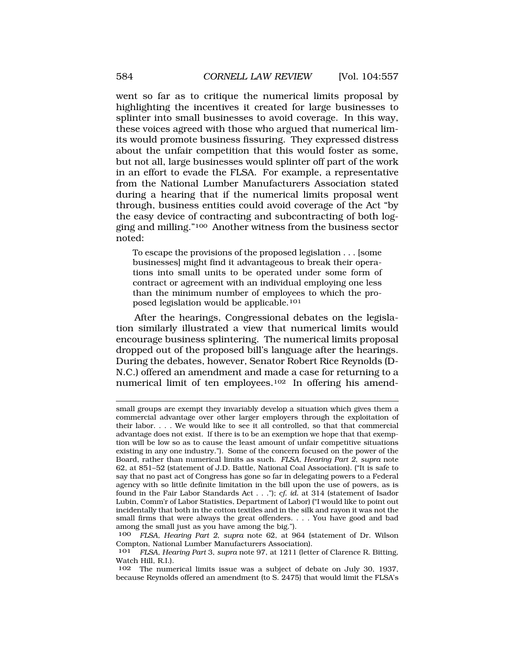went so far as to critique the numerical limits proposal by highlighting the incentives it created for large businesses to splinter into small businesses to avoid coverage. In this way, these voices agreed with those who argued that numerical limits would promote business fissuring. They expressed distress about the unfair competition that this would foster as some, but not all, large businesses would splinter off part of the work in an effort to evade the FLSA. For example, a representative from the National Lumber Manufacturers Association stated during a hearing that if the numerical limits proposal went through, business entities could avoid coverage of the Act "by the easy device of contracting and subcontracting of both logging and milling."100 Another witness from the business sector noted:

To escape the provisions of the proposed legislation . . . [some businesses] might find it advantageous to break their operations into small units to be operated under some form of contract or agreement with an individual employing one less than the minimum number of employees to which the proposed legislation would be applicable.101

After the hearings, Congressional debates on the legislation similarly illustrated a view that numerical limits would encourage business splintering. The numerical limits proposal dropped out of the proposed bill's language after the hearings. During the debates, however, Senator Robert Rice Reynolds (D-N.C.) offered an amendment and made a case for returning to a numerical limit of ten employees.102 In offering his amend-

small groups are exempt they invariably develop a situation which gives them a commercial advantage over other larger employers through the exploitation of their labor. . . . We would like to see it all controlled, so that that commercial advantage does not exist. If there is to be an exemption we hope that that exemption will be low so as to cause the least amount of unfair competitive situations existing in any one industry."). Some of the concern focused on the power of the Board, rather than numerical limits as such. *FLSA, Hearing Part 2*, *supra* note 62, at 851–52 (statement of J.D. Battle, National Coal Association). ("It is safe to say that no past act of Congress has gone so far in delegating powers to a Federal agency with so little definite limitation in the bill upon the use of powers, as is found in the Fair Labor Standards Act . . ."); *cf. id.* at 314 (statement of Isador Lubin, Comm'r of Labor Statistics, Department of Labor) ("I would like to point out incidentally that both in the cotton textiles and in the silk and rayon it was not the small firms that were always the great offenders. . . . You have good and bad among the small just as you have among the big.").

<sup>100</sup> *FLSA, Hearing Part 2*, *supra* note 62, at 964 (statement of Dr. Wilson Compton, National Lumber Manufacturers Association).

<sup>101</sup> *FLSA, Hearing Part* 3, *supra* note 97, at 1211 (letter of Clarence R. Bitting, Watch Hill, R.I.).

<sup>102</sup> The numerical limits issue was a subject of debate on July 30, 1937, because Reynolds offered an amendment (to S. 2475) that would limit the FLSA's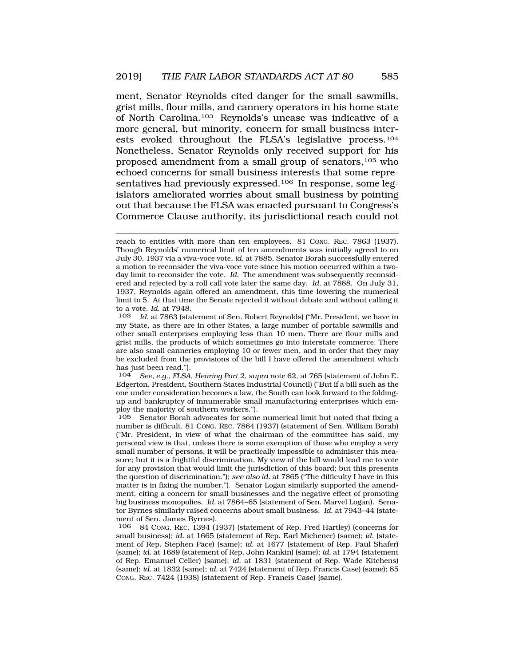ment, Senator Reynolds cited danger for the small sawmills, grist mills, flour mills, and cannery operators in his home state of North Carolina.103 Reynolds's unease was indicative of a more general, but minority, concern for small business interests evoked throughout the FLSA's legislative process.104 Nonetheless, Senator Reynolds only received support for his proposed amendment from a small group of senators,105 who echoed concerns for small business interests that some representatives had previously expressed.<sup>106</sup> In response, some legislators ameliorated worries about small business by pointing out that because the FLSA was enacted pursuant to Congress's Commerce Clause authority, its jurisdictional reach could not

104 *See, e.g.*, *FLSA, Hearing Part 2*, *supra* note 62, at 765 (statement of John E. Edgerton, President, Southern States Industrial Council) ("But if a bill such as the one under consideration becomes a law, the South can look forward to the foldingup and bankruptcy of innumerable small manufacturing enterprises which employ the majority of southern workers.").

105 Senator Borah advocates for some numerical limit but noted that fixing a number is difficult. 81 CONG. REC. 7864 (1937) (statement of Sen. William Borah) ("Mr. President, in view of what the chairman of the committee has said, my personal view is that, unless there is some exemption of those who employ a very small number of persons, it will be practically impossible to administer this measure; but it is a frightful discrimination. My view of the bill would lead me to vote for any provision that would limit the jurisdiction of this board; but this presents the question of discrimination."); *see also id.* at 7865 ("The difficulty I have in this matter is in fixing the number."). Senator Logan similarly supported the amendment, citing a concern for small businesses and the negative effect of promoting big business monopolies. *Id.* at 7864–65 (statement of Sen. Marvel Logan). Senator Byrnes similarly raised concerns about small business. *Id.* at 7943–44 (statement of Sen. James Byrnes).

106 84 CONG. REC. 1394 (1937) (statement of Rep. Fred Hartley) (concerns for small business); *id.* at 1665 (statement of Rep. Earl Michener) (same); *id.* (statement of Rep. Stephen Pace) (same); *id.* at 1677 (statement of Rep. Paul Shafer) (same); *id.* at 1689 (statement of Rep. John Rankin) (same); *id.* at 1794 (statement of Rep. Emanuel Celler) (same); *id.* at 1831 (statement of Rep. Wade Kitchens) (same); *id.* at 1832 (same); *id.* at 7424 (statement of Rep. Francis Case) (same); 85 CONG. REC. 7424 (1938) (statement of Rep. Francis Case) (same).

reach to entities with more than ten employees. 81 CONG. REC. 7863 (1937). Though Reynolds' numerical limit of ten amendments was initially agreed to on July 30, 1937 via a viva-voce vote, *id.* at 7885, Senator Borah successfully entered a motion to reconsider the viva-voce vote since his motion occurred within a twoday limit to reconsider the vote. *Id.* The amendment was subsequently reconsidered and rejected by a roll call vote later the same day. *Id.* at 7888. On July 31, 1937, Reynolds again offered an amendment, this time lowering the numerical limit to 5. At that time the Senate rejected it without debate and without calling it to a vote. *Id.* at 7948.

Id. at 7863 (statement of Sen. Robert Reynolds) ("Mr. President, we have in my State, as there are in other States, a large number of portable sawmills and other small enterprises employing less than 10 men. There are flour mills and grist mills, the products of which sometimes go into interstate commerce. There are also small canneries employing 10 or fewer men, and in order that they may be excluded from the provisions of the bill I have offered the amendment which has just been read.").<br>104 See, e.g., FLSA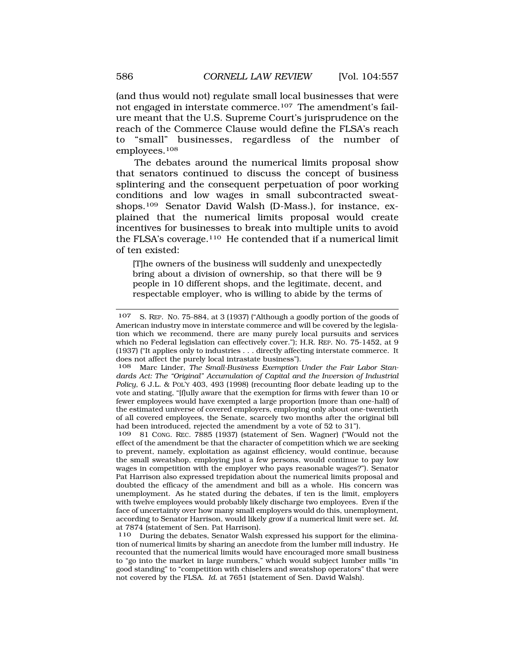(and thus would not) regulate small local businesses that were not engaged in interstate commerce.107 The amendment's failure meant that the U.S. Supreme Court's jurisprudence on the reach of the Commerce Clause would define the FLSA's reach to "small" businesses, regardless of the number of employees.108

The debates around the numerical limits proposal show that senators continued to discuss the concept of business splintering and the consequent perpetuation of poor working conditions and low wages in small subcontracted sweatshops.109 Senator David Walsh (D-Mass.), for instance, explained that the numerical limits proposal would create incentives for businesses to break into multiple units to avoid the FLSA's coverage.110 He contended that if a numerical limit of ten existed:

[T]he owners of the business will suddenly and unexpectedly bring about a division of ownership, so that there will be 9 people in 10 different shops, and the legitimate, decent, and respectable employer, who is willing to abide by the terms of

81 CONG. REC. 7885 (1937) (statement of Sen. Wagner) ("Would not the effect of the amendment be that the character of competition which we are seeking to prevent, namely, exploitation as against efficiency, would continue, because the small sweatshop, employing just a few persons, would continue to pay low wages in competition with the employer who pays reasonable wages?"). Senator Pat Harrison also expressed trepidation about the numerical limits proposal and doubted the efficacy of the amendment and bill as a whole. His concern was unemployment. As he stated during the debates, if ten is the limit, employers with twelve employees would probably likely discharge two employees. Even if the face of uncertainty over how many small employers would do this, unemployment, according to Senator Harrison, would likely grow if a numerical limit were set. *Id.*  at 7874 (statement of Sen. Pat Harrison).

110 During the debates, Senator Walsh expressed his support for the elimination of numerical limits by sharing an anecdote from the lumber mill industry. He recounted that the numerical limits would have encouraged more small business to "go into the market in large numbers," which would subject lumber mills "in good standing" to "competition with chiselers and sweatshop operators" that were not covered by the FLSA. *Id.* at 7651 (statement of Sen. David Walsh).

<sup>107</sup> S. REP. NO. 75-884, at 3 (1937) ("Although a goodly portion of the goods of American industry move in interstate commerce and will be covered by the legislation which we recommend, there are many purely local pursuits and services which no Federal legislation can effectively cover."); H.R. REP. NO. 75-1452, at 9 (1937) ("It applies only to industries . . . directly affecting interstate commerce. It does not affect the purely local intrastate business").

<sup>108</sup> Marc Linder, *The Small-Business Exemption Under the Fair Labor Standards Act: The "Original" Accumulation of Capital and the Inversion of Industrial Policy*, 6 J.L. & POL'Y 403, 493 (1998) (recounting floor debate leading up to the vote and stating, "[f]ully aware that the exemption for firms with fewer than 10 or fewer employees would have exempted a large proportion (more than one-half) of the estimated universe of covered employers, employing only about one-twentieth of all covered employees, the Senate, scarcely two months after the original bill had been introduced, rejected the amendment by a vote of 52 to 31").<br>109 81 Cong, REC, 7885 (1937) (statement of Sen, Wagner) ("Wou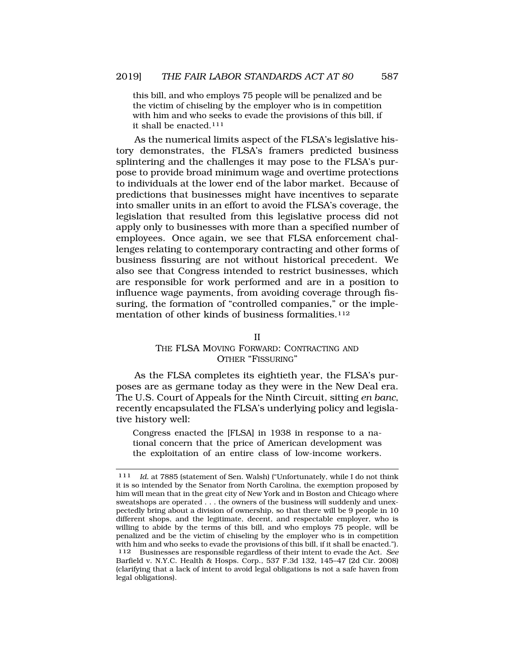this bill, and who employs 75 people will be penalized and be the victim of chiseling by the employer who is in competition with him and who seeks to evade the provisions of this bill, if it shall be enacted.111

As the numerical limits aspect of the FLSA's legislative history demonstrates, the FLSA's framers predicted business splintering and the challenges it may pose to the FLSA's purpose to provide broad minimum wage and overtime protections to individuals at the lower end of the labor market. Because of predictions that businesses might have incentives to separate into smaller units in an effort to avoid the FLSA's coverage, the legislation that resulted from this legislative process did not apply only to businesses with more than a specified number of employees. Once again, we see that FLSA enforcement challenges relating to contemporary contracting and other forms of business fissuring are not without historical precedent. We also see that Congress intended to restrict businesses, which are responsible for work performed and are in a position to influence wage payments, from avoiding coverage through fissuring, the formation of "controlled companies," or the implementation of other kinds of business formalities.<sup>112</sup>

#### II

#### THE FLSA MOVING FORWARD: CONTRACTING AND OTHER "FISSURING"

As the FLSA completes its eightieth year, the FLSA's purposes are as germane today as they were in the New Deal era. The U.S. Court of Appeals for the Ninth Circuit, sitting *en banc*, recently encapsulated the FLSA's underlying policy and legislative history well:

Congress enacted the [FLSA] in 1938 in response to a national concern that the price of American development was the exploitation of an entire class of low-income workers.

<sup>111</sup> *Id.* at 7885 (statement of Sen. Walsh) ("Unfortunately, while I do not think it is so intended by the Senator from North Carolina, the exemption proposed by him will mean that in the great city of New York and in Boston and Chicago where sweatshops are operated . . . the owners of the business will suddenly and unexpectedly bring about a division of ownership, so that there will be 9 people in 10 different shops, and the legitimate, decent, and respectable employer, who is willing to abide by the terms of this bill, and who employs 75 people, will be penalized and be the victim of chiseling by the employer who is in competition with him and who seeks to evade the provisions of this bill, if it shall be enacted.").<br>112 Businesses are responsible regardless of their intent to evade the Act. See 112 Businesses are responsible regardless of their intent to evade the Act. *See*  Barfield v. N.Y.C. Health & Hosps. Corp., 537 F.3d 132, 145–47 (2d Cir. 2008) (clarifying that a lack of intent to avoid legal obligations is not a safe haven from legal obligations).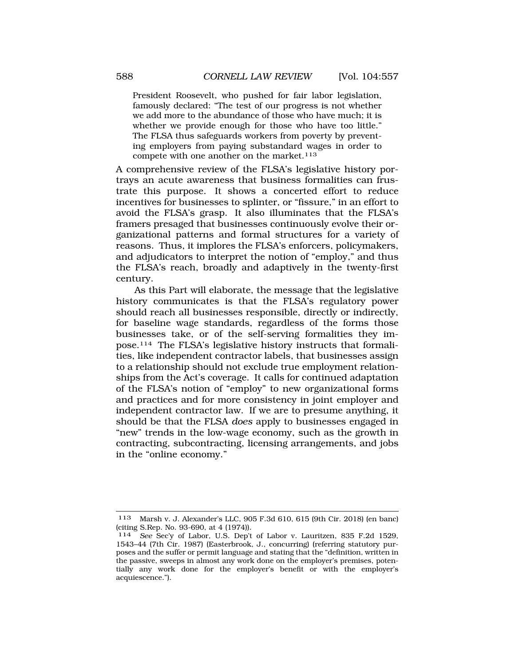President Roosevelt, who pushed for fair labor legislation, famously declared: "The test of our progress is not whether we add more to the abundance of those who have much; it is whether we provide enough for those who have too little." The FLSA thus safeguards workers from poverty by preventing employers from paying substandard wages in order to compete with one another on the market.<sup>113</sup>

A comprehensive review of the FLSA's legislative history portrays an acute awareness that business formalities can frustrate this purpose. It shows a concerted effort to reduce incentives for businesses to splinter, or "fissure," in an effort to avoid the FLSA's grasp. It also illuminates that the FLSA's framers presaged that businesses continuously evolve their organizational patterns and formal structures for a variety of reasons. Thus, it implores the FLSA's enforcers, policymakers, and adjudicators to interpret the notion of "employ," and thus the FLSA's reach, broadly and adaptively in the twenty-first century.

As this Part will elaborate, the message that the legislative history communicates is that the FLSA's regulatory power should reach all businesses responsible, directly or indirectly, for baseline wage standards, regardless of the forms those businesses take, or of the self-serving formalities they impose.114 The FLSA's legislative history instructs that formalities, like independent contractor labels, that businesses assign to a relationship should not exclude true employment relationships from the Act's coverage. It calls for continued adaptation of the FLSA's notion of "employ" to new organizational forms and practices and for more consistency in joint employer and independent contractor law. If we are to presume anything, it should be that the FLSA *does* apply to businesses engaged in "new" trends in the low-wage economy, such as the growth in contracting, subcontracting, licensing arrangements, and jobs in the "online economy."

<sup>113</sup> Marsh v. J. Alexander's LLC, 905 F.3d 610, 615 (9th Cir. 2018) (en banc) (citing S.Rep. No. 93-690, at 4 (1974)).

<sup>114</sup> *See* Sec'y of Labor, U.S. Dep't of Labor v. Lauritzen, 835 F.2d 1529, 1543–44 (7th Cir. 1987) (Easterbrook, J., concurring) (referring statutory purposes and the suffer or permit language and stating that the "definition, written in the passive, sweeps in almost any work done on the employer's premises, potentially any work done for the employer's benefit or with the employer's acquiescence.").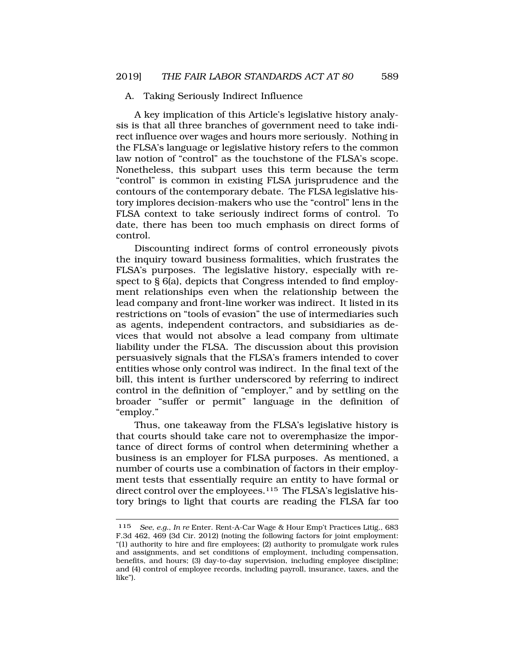#### A. Taking Seriously Indirect Influence

A key implication of this Article's legislative history analysis is that all three branches of government need to take indirect influence over wages and hours more seriously. Nothing in the FLSA's language or legislative history refers to the common law notion of "control" as the touchstone of the FLSA's scope. Nonetheless, this subpart uses this term because the term "control" is common in existing FLSA jurisprudence and the contours of the contemporary debate. The FLSA legislative history implores decision-makers who use the "control" lens in the FLSA context to take seriously indirect forms of control. To date, there has been too much emphasis on direct forms of control.

Discounting indirect forms of control erroneously pivots the inquiry toward business formalities, which frustrates the FLSA's purposes. The legislative history, especially with respect to § 6(a), depicts that Congress intended to find employment relationships even when the relationship between the lead company and front-line worker was indirect. It listed in its restrictions on "tools of evasion" the use of intermediaries such as agents, independent contractors, and subsidiaries as devices that would not absolve a lead company from ultimate liability under the FLSA. The discussion about this provision persuasively signals that the FLSA's framers intended to cover entities whose only control was indirect. In the final text of the bill, this intent is further underscored by referring to indirect control in the definition of "employer," and by settling on the broader "suffer or permit" language in the definition of "employ."

Thus, one takeaway from the FLSA's legislative history is that courts should take care not to overemphasize the importance of direct forms of control when determining whether a business is an employer for FLSA purposes. As mentioned, a number of courts use a combination of factors in their employment tests that essentially require an entity to have formal or direct control over the employees.<sup>115</sup> The FLSA's legislative history brings to light that courts are reading the FLSA far too

<sup>115</sup> *See, e.g.*, *In re* Enter. Rent-A-Car Wage & Hour Emp't Practices Litig., 683 F.3d 462, 469 (3d Cir. 2012) (noting the following factors for joint employment: "(1) authority to hire and fire employees; (2) authority to promulgate work rules and assignments, and set conditions of employment, including compensation, benefits, and hours; (3) day-to-day supervision, including employee discipline; and (4) control of employee records, including payroll, insurance, taxes, and the like").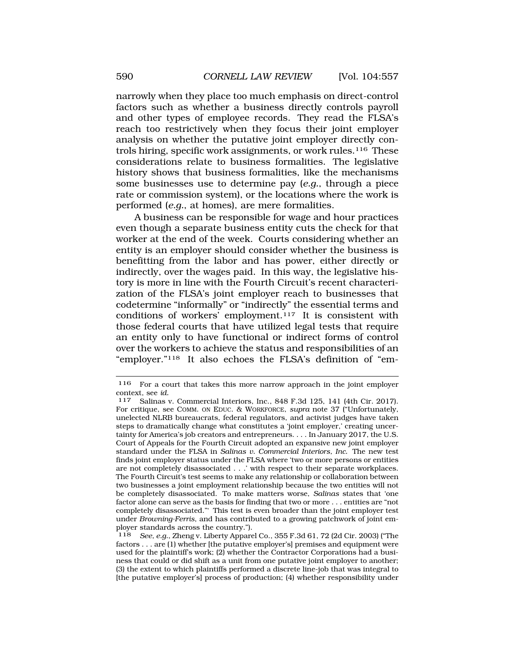narrowly when they place too much emphasis on direct-control factors such as whether a business directly controls payroll and other types of employee records. They read the FLSA's reach too restrictively when they focus their joint employer analysis on whether the putative joint employer directly controls hiring, specific work assignments, or work rules.116 These considerations relate to business formalities. The legislative history shows that business formalities, like the mechanisms some businesses use to determine pay (*e.g.*, through a piece rate or commission system), or the locations where the work is performed (*e.g.*, at homes), are mere formalities.

A business can be responsible for wage and hour practices even though a separate business entity cuts the check for that worker at the end of the week. Courts considering whether an entity is an employer should consider whether the business is benefitting from the labor and has power, either directly or indirectly, over the wages paid. In this way, the legislative history is more in line with the Fourth Circuit's recent characterization of the FLSA's joint employer reach to businesses that codetermine "informally" or "indirectly" the essential terms and conditions of workers' employment.117 It is consistent with those federal courts that have utilized legal tests that require an entity only to have functional or indirect forms of control over the workers to achieve the status and responsibilities of an "employer."118 It also echoes the FLSA's definition of "em-

<sup>116</sup> For a court that takes this more narrow approach in the joint employer context, see *id.* 117 Salinas v. Commercial Interiors, Inc., 848 F.3d 125, 141 (4th Cir. 2017).

For critique, see COMM. ON EDUC. & WORKFORCE, *supra* note 37 ("Unfortunately, unelected NLRB bureaucrats, federal regulators, and activist judges have taken steps to dramatically change what constitutes a 'joint employer,' creating uncertainty for America's job creators and entrepreneurs. . . . In January 2017, the U.S. Court of Appeals for the Fourth Circuit adopted an expansive new joint employer standard under the FLSA in *Salinas v. Commercial Interiors, Inc.* The new test finds joint employer status under the FLSA where 'two or more persons or entities are not completely disassociated . . .' with respect to their separate workplaces. The Fourth Circuit's test seems to make any relationship or collaboration between two businesses a joint employment relationship because the two entities will not be completely disassociated. To make matters worse, *Salinas* states that 'one factor alone can serve as the basis for finding that two or more . . . entities are "not completely disassociated."' This test is even broader than the joint employer test under *Browning-Ferris*, and has contributed to a growing patchwork of joint employer standards across the country.").

<sup>118</sup> *See, e.g.*, Zheng v. Liberty Apparel Co., 355 F.3d 61, 72 (2d Cir. 2003) ("The factors . . . are (1) whether [the putative employer's] premises and equipment were used for the plaintiff's work; (2) whether the Contractor Corporations had a business that could or did shift as a unit from one putative joint employer to another; (3) the extent to which plaintiffs performed a discrete line-job that was integral to [the putative employer's] process of production; (4) whether responsibility under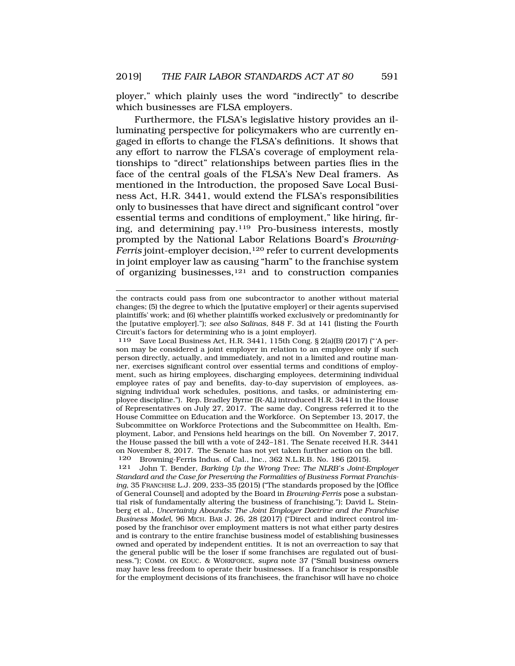ployer," which plainly uses the word "indirectly" to describe which businesses are FLSA employers.

Furthermore, the FLSA's legislative history provides an illuminating perspective for policymakers who are currently engaged in efforts to change the FLSA's definitions. It shows that any effort to narrow the FLSA's coverage of employment relationships to "direct" relationships between parties flies in the face of the central goals of the FLSA's New Deal framers. As mentioned in the Introduction, the proposed Save Local Business Act, H.R. 3441, would extend the FLSA's responsibilities only to businesses that have direct and significant control "over essential terms and conditions of employment," like hiring, firing, and determining pay.119 Pro-business interests, mostly prompted by the National Labor Relations Board's *Browning-Ferris* joint-employer decision,<sup>120</sup> refer to current developments in joint employer law as causing "harm" to the franchise system of organizing businesses,121 and to construction companies

the contracts could pass from one subcontractor to another without material changes; (5) the degree to which the [putative employer] or their agents supervised plaintiffs' work; and (6) whether plaintiffs worked exclusively or predominantly for the [putative employer]."); *see also Salinas*, 848 F. 3d at 141 (listing the Fourth Circuit's factors for determining who is a joint employer).

<sup>119</sup> Save Local Business Act, H.R. 3441, 115th Cong. § 2(a)(B) (2017) ("'A person may be considered a joint employer in relation to an employee only if such person directly, actually, and immediately, and not in a limited and routine manner, exercises significant control over essential terms and conditions of employment, such as hiring employees, discharging employees, determining individual employee rates of pay and benefits, day-to-day supervision of employees, assigning individual work schedules, positions, and tasks, or administering employee discipline."). Rep. Bradley Byrne (R-AL) introduced H.R. 3441 in the House of Representatives on July 27, 2017. The same day, Congress referred it to the House Committee on Education and the Workforce. On September 13, 2017, the Subcommittee on Workforce Protections and the Subcommittee on Health, Employment, Labor, and Pensions held hearings on the bill. On November 7, 2017, the House passed the bill with a vote of 242–181. The Senate received H.R. 3441 on November 8, 2017. The Senate has not yet taken further action on the bill. 120 Browning-Ferris Indus. of Cal., Inc., 362 N.L.R.B. No. 186 (2015).<br>121 John T. Bender, Barking Un the Wrong Tree: The NLRB's Joint-E

<sup>121</sup> John T. Bender, *Barking Up the Wrong Tree: The NLRB's Joint-Employer Standard and the Case for Preserving the Formalities of Business Format Franchising*, 35 FRANCHISE L.J. 209, 233–35 (2015) ("The standards proposed by the [Office of General Counsel] and adopted by the Board in *Browning-Ferris* pose a substantial risk of fundamentally altering the business of franchising."); David L. Steinberg et al., *Uncertainty Abounds: The Joint Employer Doctrine and the Franchise Business Model*, 96 MICH. BAR J. 26, 28 (2017) ("Direct and indirect control imposed by the franchisor over employment matters is not what either party desires and is contrary to the entire franchise business model of establishing businesses owned and operated by independent entities. It is not an overreaction to say that the general public will be the loser if some franchises are regulated out of business."); COMM. ON EDUC. & WORKFORCE, *supra* note 37 ("Small business owners may have less freedom to operate their businesses. If a franchisor is responsible for the employment decisions of its franchisees, the franchisor will have no choice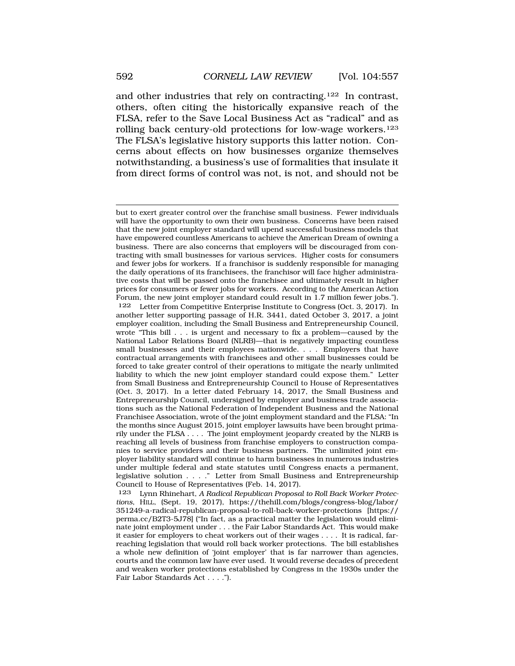and other industries that rely on contracting.122 In contrast, others, often citing the historically expansive reach of the FLSA, refer to the Save Local Business Act as "radical" and as rolling back century-old protections for low-wage workers.123 The FLSA's legislative history supports this latter notion. Concerns about effects on how businesses organize themselves notwithstanding, a business's use of formalities that insulate it from direct forms of control was not, is not, and should not be

123 Lynn Rhinehart, *A Radical Republican Proposal to Roll Back Worker Protections*, HILL, (Sept. 19, 2017), https://thehill.com/blogs/congress-blog/labor/ 351249-a-radical-republican-proposal-to-roll-back-worker-protections [https:// perma.cc/B2T3-5J78] ("In fact, as a practical matter the legislation would eliminate joint employment under . . . the Fair Labor Standards Act. This would make it easier for employers to cheat workers out of their wages . . . . It is radical, farreaching legislation that would roll back worker protections. The bill establishes a whole new definition of 'joint employer' that is far narrower than agencies, courts and the common law have ever used. It would reverse decades of precedent and weaken worker protections established by Congress in the 1930s under the Fair Labor Standards Act . . . .").

but to exert greater control over the franchise small business. Fewer individuals will have the opportunity to own their own business. Concerns have been raised that the new joint employer standard will upend successful business models that have empowered countless Americans to achieve the American Dream of owning a business. There are also concerns that employers will be discouraged from contracting with small businesses for various services. Higher costs for consumers and fewer jobs for workers. If a franchisor is suddenly responsible for managing the daily operations of its franchisees, the franchisor will face higher administrative costs that will be passed onto the franchisee and ultimately result in higher prices for consumers or fewer jobs for workers. According to the American Action Forum, the new joint employer standard could result in 1.7 million fewer jobs."). 122 Letter from Competitive Enterprise Institute to Congress (Oct. 3, 2017). In another letter supporting passage of H.R. 3441, dated October 3, 2017, a joint employer coalition, including the Small Business and Entrepreneurship Council, wrote "This bill . . . is urgent and necessary to fix a problem—caused by the National Labor Relations Board (NLRB)—that is negatively impacting countless small businesses and their employees nationwide. . . . Employers that have contractual arrangements with franchisees and other small businesses could be forced to take greater control of their operations to mitigate the nearly unlimited liability to which the new joint employer standard could expose them." Letter from Small Business and Entrepreneurship Council to House of Representatives (Oct. 3, 2017). In a letter dated February 14, 2017, the Small Business and Entrepreneurship Council, undersigned by employer and business trade associations such as the National Federation of Independent Business and the National Franchisee Association, wrote of the joint employment standard and the FLSA: "In the months since August 2015, joint employer lawsuits have been brought primarily under the FLSA . . . . The joint employment jeopardy created by the NLRB is reaching all levels of business from franchise employers to construction companies to service providers and their business partners. The unlimited joint employer liability standard will continue to harm businesses in numerous industries under multiple federal and state statutes until Congress enacts a permanent, legislative solution . . . ." Letter from Small Business and Entrepreneurship Council to House of Representatives (Feb. 14, 2017).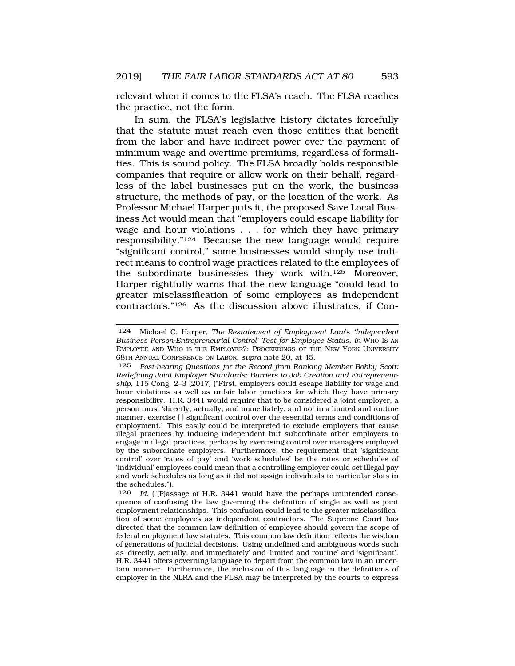relevant when it comes to the FLSA's reach. The FLSA reaches the practice, not the form.

In sum, the FLSA's legislative history dictates forcefully that the statute must reach even those entities that benefit from the labor and have indirect power over the payment of minimum wage and overtime premiums, regardless of formalities. This is sound policy. The FLSA broadly holds responsible companies that require or allow work on their behalf, regardless of the label businesses put on the work, the business structure, the methods of pay, or the location of the work. As Professor Michael Harper puts it, the proposed Save Local Business Act would mean that "employers could escape liability for wage and hour violations . . . for which they have primary responsibility."124 Because the new language would require "significant control," some businesses would simply use indirect means to control wage practices related to the employees of the subordinate businesses they work with.125 Moreover, Harper rightfully warns that the new language "could lead to greater misclassification of some employees as independent contractors."126 As the discussion above illustrates, if Con-

<sup>124</sup> Michael C. Harper, *The Restatement of Employment Law*'s *'Independent Business Person-Entrepreneurial Control' Test for Employee Status*, *in* WHO IS AN EMPLOYEE AND WHO IS THE EMPLOYER?: PROCEEDINGS OF THE NEW YORK UNIVERSITY 68TH ANNUAL CONFERENCE ON LABOR, *supra* note 20, at 45.

<sup>125</sup> *Post-hearing Questions for the Record from Ranking Member Bobby Scott: Redefining Joint Employer Standards: Barriers to Job Creation and Entrepreneurship*, 115 Cong. 2–3 (2017) ("First, employers could escape liability for wage and hour violations as well as unfair labor practices for which they have primary responsibility. H.R. 3441 would require that to be considered a joint employer, a person must 'directly, actually, and immediately, and not in a limited and routine manner, exercise [ ] significant control over the essential terms and conditions of employment.' This easily could be interpreted to exclude employers that cause illegal practices by inducing independent but subordinate other employers to engage in illegal practices, perhaps by exercising control over managers employed by the subordinate employers. Furthermore, the requirement that 'significant control' over 'rates of pay' and 'work schedules' be the rates or schedules of 'individual' employees could mean that a controlling employer could set illegal pay and work schedules as long as it did not assign individuals to particular slots in the schedules.").

<sup>126</sup> *Id.* ("[P]assage of H.R. 3441 would have the perhaps unintended consequence of confusing the law governing the definition of single as well as joint employment relationships. This confusion could lead to the greater misclassification of some employees as independent contractors. The Supreme Court has directed that the common law definition of employee should govern the scope of federal employment law statutes. This common law definition reflects the wisdom of generations of judicial decisions. Using undefined and ambiguous words such as 'directly, actually, and immediately' and 'limited and routine' and 'significant', H.R. 3441 offers governing language to depart from the common law in an uncertain manner. Furthermore, the inclusion of this language in the definitions of employer in the NLRA and the FLSA may be interpreted by the courts to express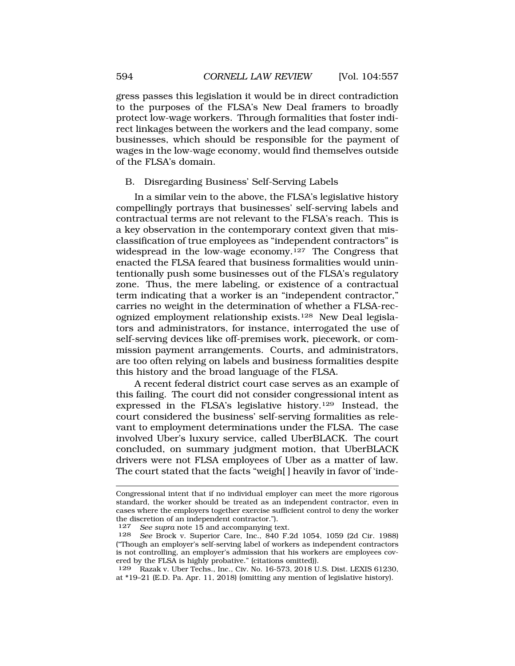gress passes this legislation it would be in direct contradiction to the purposes of the FLSA's New Deal framers to broadly protect low-wage workers. Through formalities that foster indirect linkages between the workers and the lead company, some businesses, which should be responsible for the payment of wages in the low-wage economy, would find themselves outside of the FLSA's domain.

#### B. Disregarding Business' Self-Serving Labels

In a similar vein to the above, the FLSA's legislative history compellingly portrays that businesses' self-serving labels and contractual terms are not relevant to the FLSA's reach. This is a key observation in the contemporary context given that misclassification of true employees as "independent contractors" is widespread in the low-wage economy.127 The Congress that enacted the FLSA feared that business formalities would unintentionally push some businesses out of the FLSA's regulatory zone. Thus, the mere labeling, or existence of a contractual term indicating that a worker is an "independent contractor," carries no weight in the determination of whether a FLSA-recognized employment relationship exists.128 New Deal legislators and administrators, for instance, interrogated the use of self-serving devices like off-premises work, piecework, or commission payment arrangements. Courts, and administrators, are too often relying on labels and business formalities despite this history and the broad language of the FLSA.

A recent federal district court case serves as an example of this failing. The court did not consider congressional intent as expressed in the FLSA's legislative history.129 Instead, the court considered the business' self-serving formalities as relevant to employment determinations under the FLSA. The case involved Uber's luxury service, called UberBLACK. The court concluded, on summary judgment motion, that UberBLACK drivers were not FLSA employees of Uber as a matter of law. The court stated that the facts "weigh[ ] heavily in favor of 'inde-

Congressional intent that if no individual employer can meet the more rigorous standard, the worker should be treated as an independent contractor, even in cases where the employers together exercise sufficient control to deny the worker the discretion of an independent contractor.").<br>127 See supra note 15 and accompanying to

<sup>127</sup> *See supra* note 15 and accompanying text.<br>128 *See* Brock v Superior Care Inc. 840 F.

<sup>128</sup> *See* Brock v. Superior Care, Inc., 840 F.2d 1054, 1059 (2d Cir. 1988) ("Though an employer's self-serving label of workers as independent contractors is not controlling, an employer's admission that his workers are employees covered by the FLSA is highly probative." (citations omitted)).

<sup>129</sup> Razak v. Uber Techs., Inc., Civ. No. 16-573, 2018 U.S. Dist. LEXIS 61230, at \*19–21 (E.D. Pa. Apr. 11, 2018) (omitting any mention of legislative history).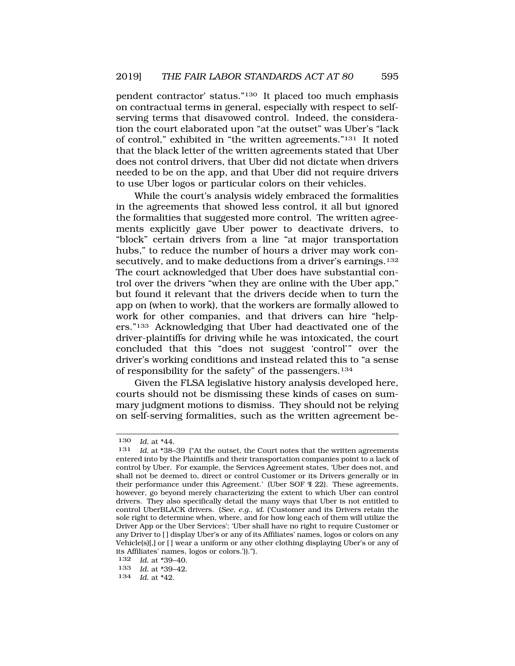pendent contractor' status."130 It placed too much emphasis on contractual terms in general, especially with respect to selfserving terms that disavowed control. Indeed, the consideration the court elaborated upon "at the outset" was Uber's "lack of control," exhibited in "the written agreements."131 It noted that the black letter of the written agreements stated that Uber does not control drivers, that Uber did not dictate when drivers needed to be on the app, and that Uber did not require drivers to use Uber logos or particular colors on their vehicles.

While the court's analysis widely embraced the formalities in the agreements that showed less control, it all but ignored the formalities that suggested more control. The written agreements explicitly gave Uber power to deactivate drivers, to "block" certain drivers from a line "at major transportation hubs," to reduce the number of hours a driver may work consecutively, and to make deductions from a driver's earnings.<sup>132</sup> The court acknowledged that Uber does have substantial control over the drivers "when they are online with the Uber app," but found it relevant that the drivers decide when to turn the app on (when to work), that the workers are formally allowed to work for other companies, and that drivers can hire "helpers."133 Acknowledging that Uber had deactivated one of the driver-plaintiffs for driving while he was intoxicated, the court concluded that this "does not suggest 'control'" over the driver's working conditions and instead related this to "a sense of responsibility for the safety" of the passengers.134

Given the FLSA legislative history analysis developed here, courts should not be dismissing these kinds of cases on summary judgment motions to dismiss. They should not be relying on self-serving formalities, such as the written agreement be-

<sup>130</sup> *Id.* at \*44.<br>131 *Id.* at \*38-

Id. at \*38-39 ("At the outset, the Court notes that the written agreements entered into by the Plaintiffs and their transportation companies point to a lack of control by Uber. For example, the Services Agreement states, 'Uber does not, and shall not be deemed to, direct or control Customer or its Drivers generally or in their performance under this Agreement.' (Uber SOF ¶ 22). These agreements, however, go beyond merely characterizing the extent to which Uber can control drivers. They also specifically detail the many ways that Uber is not entitled to control UberBLACK drivers. (*See, e.g.*, *id.* ('Customer and its Drivers retain the sole right to determine when, where, and for how long each of them will utilize the Driver App or the Uber Services'; 'Uber shall have no right to require Customer or any Driver to [ ] display Uber's or any of its Affiliates' names, logos or colors on any Vehicle(s)[,] or [ ] wear a uniform or any other clothing displaying Uber's or any of its Affiliates' names, logos or colors.')).").

<sup>132</sup> *Id.* at \*39–40.

<sup>133</sup> *Id.* at \*39–42.

<sup>134</sup> *Id.* at \*42.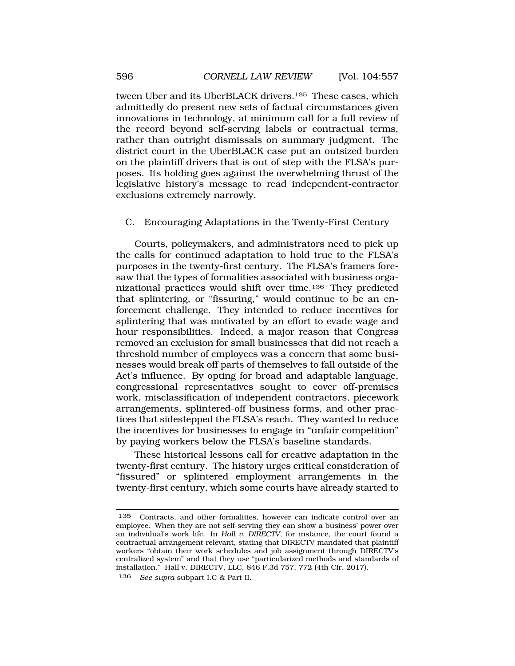tween Uber and its UberBLACK drivers.<sup>135</sup> These cases, which admittedly do present new sets of factual circumstances given innovations in technology, at minimum call for a full review of the record beyond self-serving labels or contractual terms, rather than outright dismissals on summary judgment. The district court in the UberBLACK case put an outsized burden on the plaintiff drivers that is out of step with the FLSA's purposes. Its holding goes against the overwhelming thrust of the legislative history's message to read independent-contractor exclusions extremely narrowly.

#### C. Encouraging Adaptations in the Twenty-First Century

Courts, policymakers, and administrators need to pick up the calls for continued adaptation to hold true to the FLSA's purposes in the twenty-first century. The FLSA's framers foresaw that the types of formalities associated with business organizational practices would shift over time.136 They predicted that splintering, or "fissuring," would continue to be an enforcement challenge. They intended to reduce incentives for splintering that was motivated by an effort to evade wage and hour responsibilities. Indeed, a major reason that Congress removed an exclusion for small businesses that did not reach a threshold number of employees was a concern that some businesses would break off parts of themselves to fall outside of the Act's influence. By opting for broad and adaptable language, congressional representatives sought to cover off-premises work, misclassification of independent contractors, piecework arrangements, splintered-off business forms, and other practices that sidestepped the FLSA's reach. They wanted to reduce the incentives for businesses to engage in "unfair competition" by paying workers below the FLSA's baseline standards.

These historical lessons call for creative adaptation in the twenty-first century. The history urges critical consideration of "fissured" or splintered employment arrangements in the twenty-first century, which some courts have already started to

<sup>135</sup> Contracts, and other formalities, however can indicate control over an employee. When they are not self-serving they can show a business' power over an individual's work life. In *Hall v. DIRECTV*, for instance, the court found a contractual arrangement relevant, stating that DIRECTV mandated that plaintiff workers "obtain their work schedules and job assignment through DIRECTV's centralized system" and that they use "particularized methods and standards of installation." Hall v. DIRECTV, LLC, 846 F.3d 757, 772 (4th Cir. 2017). 136 *See supra* subpart I.C & Part II.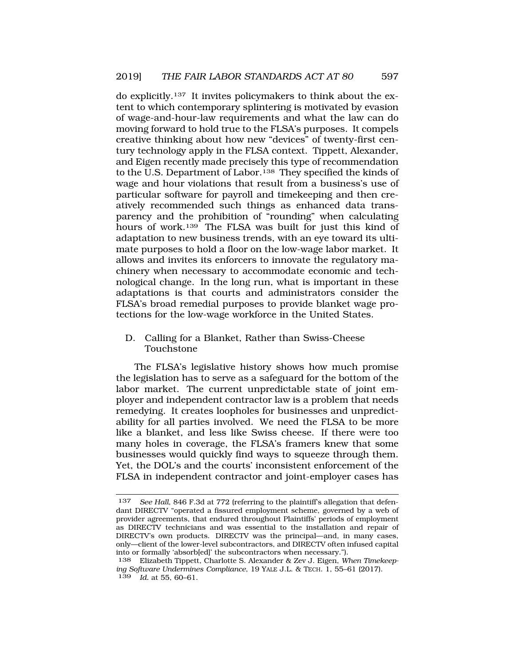do explicitly.137 It invites policymakers to think about the extent to which contemporary splintering is motivated by evasion of wage-and-hour-law requirements and what the law can do moving forward to hold true to the FLSA's purposes. It compels creative thinking about how new "devices" of twenty-first century technology apply in the FLSA context. Tippett, Alexander, and Eigen recently made precisely this type of recommendation to the U.S. Department of Labor.<sup>138</sup> They specified the kinds of wage and hour violations that result from a business's use of particular software for payroll and timekeeping and then creatively recommended such things as enhanced data transparency and the prohibition of "rounding" when calculating hours of work.139 The FLSA was built for just this kind of adaptation to new business trends, with an eye toward its ultimate purposes to hold a floor on the low-wage labor market. It allows and invites its enforcers to innovate the regulatory machinery when necessary to accommodate economic and technological change. In the long run, what is important in these adaptations is that courts and administrators consider the FLSA's broad remedial purposes to provide blanket wage protections for the low-wage workforce in the United States.

### D. Calling for a Blanket, Rather than Swiss-Cheese Touchstone

The FLSA's legislative history shows how much promise the legislation has to serve as a safeguard for the bottom of the labor market. The current unpredictable state of joint employer and independent contractor law is a problem that needs remedying. It creates loopholes for businesses and unpredictability for all parties involved. We need the FLSA to be more like a blanket, and less like Swiss cheese. If there were too many holes in coverage, the FLSA's framers knew that some businesses would quickly find ways to squeeze through them. Yet, the DOL's and the courts' inconsistent enforcement of the FLSA in independent contractor and joint-employer cases has

<sup>&</sup>lt;sup>137</sup> *See Hall*, 846 F.3d at 772 (referring to the plaintiff's allegation that defendant DIRECTV "operated a fissured employment scheme, governed by a web of provider agreements, that endured throughout Plaintiffs' periods of employment as DIRECTV technicians and was essential to the installation and repair of DIRECTV's own products. DIRECTV was the principal—and, in many cases, only—client of the lower-level subcontractors, and DIRECTV often infused capital into or formally 'absorb[ed]' the subcontractors when necessary.").

<sup>138</sup> Elizabeth Tippett, Charlotte S. Alexander & Zev J. Eigen, *When Timekeeping Software Undermines Compliance*, 19 YALE J.L. & TECH. 1, 55–61 (2017). 139 *Id.* at 55, 60–61.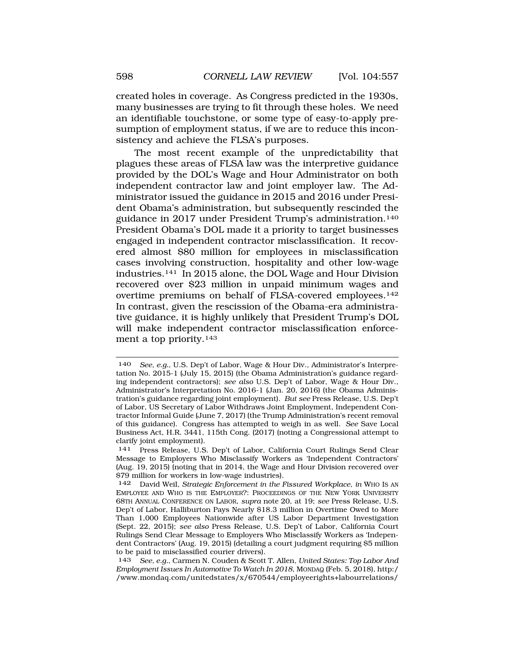created holes in coverage. As Congress predicted in the 1930s, many businesses are trying to fit through these holes. We need an identifiable touchstone, or some type of easy-to-apply presumption of employment status, if we are to reduce this inconsistency and achieve the FLSA's purposes.

The most recent example of the unpredictability that plagues these areas of FLSA law was the interpretive guidance provided by the DOL's Wage and Hour Administrator on both independent contractor law and joint employer law. The Administrator issued the guidance in 2015 and 2016 under President Obama's administration, but subsequently rescinded the guidance in 2017 under President Trump's administration.140 President Obama's DOL made it a priority to target businesses engaged in independent contractor misclassification. It recovered almost \$80 million for employees in misclassification cases involving construction, hospitality and other low-wage industries.141 In 2015 alone, the DOL Wage and Hour Division recovered over \$23 million in unpaid minimum wages and overtime premiums on behalf of FLSA-covered employees.142 In contrast, given the rescission of the Obama-era administrative guidance, it is highly unlikely that President Trump's DOL will make independent contractor misclassification enforcement a top priority.143

<sup>140</sup> *See, e.g.*, U.S. Dep't of Labor, Wage & Hour Div., Administrator's Interpretation No. 2015-1 (July 15, 2015) (the Obama Administration's guidance regarding independent contractors); *see also* U.S. Dep't of Labor, Wage & Hour Div., Administrator's Interpretation No. 2016-1 (Jan. 20, 2016) (the Obama Administration's guidance regarding joint employment). *But see* Press Release, U.S. Dep't of Labor, US Secretary of Labor Withdraws Joint Employment, Independent Contractor Informal Guide (June 7, 2017) (the Trump Administration's recent removal of this guidance). Congress has attempted to weigh in as well. *See* Save Local Business Act, H.R. 3441, 115th Cong. (2017) (noting a Congressional attempt to clarify joint employment).

<sup>141</sup> Press Release, U.S. Dep't of Labor, California Court Rulings Send Clear Message to Employers Who Misclassify Workers as 'Independent Contractors' (Aug. 19, 2015) (noting that in 2014, the Wage and Hour Division recovered over \$79 million for workers in low-wage industries).

<sup>142</sup> David Weil, *Strategic Enforcement in the Fissured Workplace*, *in* WHO IS AN EMPLOYEE AND WHO IS THE EMPLOYER?: PROCEEDINGS OF THE NEW YORK UNIVERSITY 68TH ANNUAL CONFERENCE ON LABOR, *supra* note 20, at 19; *see* Press Release, U.S. Dep't of Labor, Halliburton Pays Nearly \$18.3 million in Overtime Owed to More Than 1,000 Employees Nationwide after US Labor Department Investigation (Sept. 22, 2015); *see also* Press Release, U.S. Dep't of Labor, California Court Rulings Send Clear Message to Employers Who Misclassify Workers as 'Independent Contractors' (Aug. 19, 2015) (detailing a court judgment requiring \$5 million to be paid to misclassified courier drivers).

<sup>143</sup> *See, e.g.*, Carmen N. Couden & Scott T. Allen, *United States: Top Labor And Employment Issues In Automotive To Watch In 2018*, MONDAQ (Feb. 5, 2018), http:/ /www.mondaq.com/unitedstates/x/670544/employeerights+labourrelations/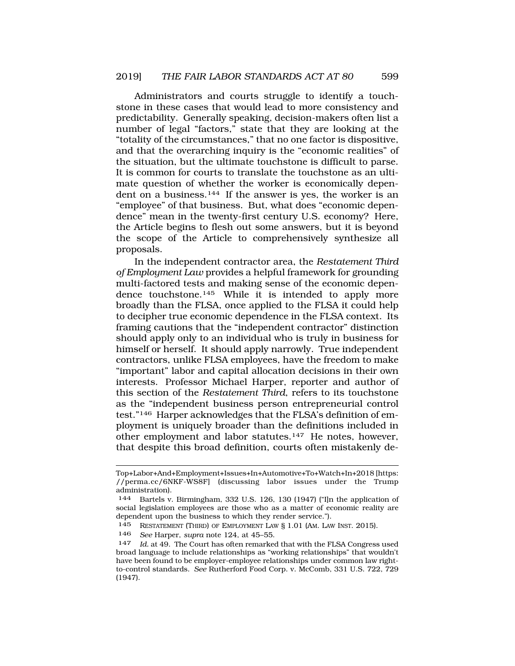Administrators and courts struggle to identify a touchstone in these cases that would lead to more consistency and predictability. Generally speaking, decision-makers often list a number of legal "factors," state that they are looking at the "totality of the circumstances," that no one factor is dispositive, and that the overarching inquiry is the "economic realities" of the situation, but the ultimate touchstone is difficult to parse. It is common for courts to translate the touchstone as an ultimate question of whether the worker is economically dependent on a business.<sup>144</sup> If the answer is yes, the worker is an "employee" of that business. But, what does "economic dependence" mean in the twenty-first century U.S. economy? Here, the Article begins to flesh out some answers, but it is beyond the scope of the Article to comprehensively synthesize all proposals.

In the independent contractor area, the *Restatement Third of Employment Law* provides a helpful framework for grounding multi-factored tests and making sense of the economic dependence touchstone.145 While it is intended to apply more broadly than the FLSA, once applied to the FLSA it could help to decipher true economic dependence in the FLSA context. Its framing cautions that the "independent contractor" distinction should apply only to an individual who is truly in business for himself or herself. It should apply narrowly. True independent contractors, unlike FLSA employees, have the freedom to make "important" labor and capital allocation decisions in their own interests. Professor Michael Harper, reporter and author of this section of the *Restatement Third*, refers to its touchstone as the "independent business person entrepreneurial control test."146 Harper acknowledges that the FLSA's definition of employment is uniquely broader than the definitions included in other employment and labor statutes.147 He notes, however, that despite this broad definition, courts often mistakenly de-

Top+Labor+And+Employment+Issues+In+Automotive+To+Watch+In+2018 [https: //perma.cc/6NKF-WS8F] (discussing labor issues under the Trump administration).

<sup>144</sup> Bartels v. Birmingham, 332 U.S. 126, 130 (1947) ("I]n the application of social legislation employees are those who as a matter of economic reality are dependent upon the business to which they render service.").

<sup>145</sup> RESTATEMENT (THIRD) OF EMPLOYMENT LAW § 1.01 (AM. LAW INST. 2015).

<sup>146</sup> *See* Harper, *supra* note 124, at 45–55.

<sup>147</sup> *Id.* at 49. The Court has often remarked that with the FLSA Congress used broad language to include relationships as "working relationships" that wouldn't have been found to be employer-employee relationships under common law rightto-control standards. *See* Rutherford Food Corp. v. McComb, 331 U.S. 722, 729 (1947).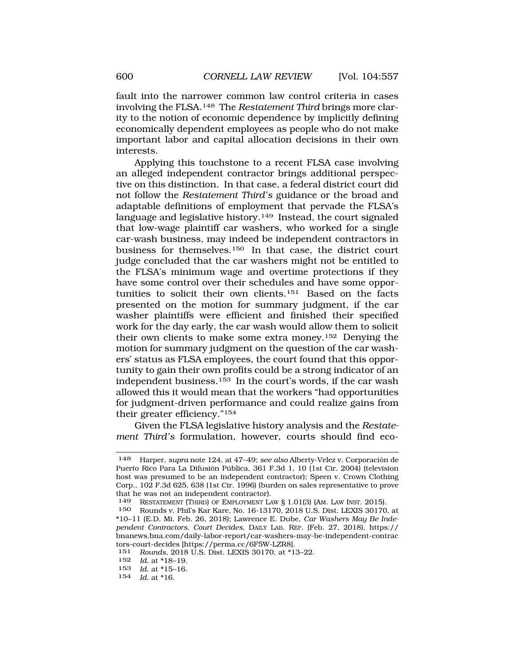fault into the narrower common law control criteria in cases involving the FLSA.148 The *Restatement Third* brings more clarity to the notion of economic dependence by implicitly defining economically dependent employees as people who do not make important labor and capital allocation decisions in their own interests.

Applying this touchstone to a recent FLSA case involving an alleged independent contractor brings additional perspective on this distinction. In that case, a federal district court did not follow the *Restatement Third's* guidance or the broad and adaptable definitions of employment that pervade the FLSA's language and legislative history.<sup>149</sup> Instead, the court signaled that low-wage plaintiff car washers, who worked for a single car-wash business, may indeed be independent contractors in business for themselves.150 In that case, the district court judge concluded that the car washers might not be entitled to the FLSA's minimum wage and overtime protections if they have some control over their schedules and have some opportunities to solicit their own clients.151 Based on the facts presented on the motion for summary judgment, if the car washer plaintiffs were efficient and finished their specified work for the day early, the car wash would allow them to solicit their own clients to make some extra money.152 Denying the motion for summary judgment on the question of the car washers' status as FLSA employees, the court found that this opportunity to gain their own profits could be a strong indicator of an independent business.153 In the court's words, if the car wash allowed this it would mean that the workers "had opportunities for judgment-driven performance and could realize gains from their greater efficiency."154

Given the FLSA legislative history analysis and the *Restatement Third's* formulation, however, courts should find eco-

154 *Id.* at \*16.

<sup>148</sup> Harper, *supra* note 124, at 47–49; *see also* Alberty-Velez v. Corporación de Puerto Rico Para La Difusión Pública, 361 F.3d 1, 10 (1st Cir. 2004) (television host was presumed to be an independent contractor); Speen v. Crown Clothing Corp., 102 F.3d 625, 638 (1st Cir. 1996) (burden on sales representative to prove that he was not an independent contractor).<br>149 RESTATEMENT (THIRD) OF EMPLOYMENT LA

RESTATEMENT (THIRD) OF EMPLOYMENT LAW § 1.01(3) (AM. LAW INST. 2015).

<sup>150</sup> Rounds v. Phil's Kar Kare, No. 16-13170, 2018 U.S. Dist. LEXIS 30170, at \*10–11 (E.D. Mi. Feb. 26, 2018); Lawrence E. Dube, *Car Washers May Be Independent Contractors, Court Decides*, DAILY LAB. REP. (Feb. 27, 2018), https:// bnanews.bna.com/daily-labor-report/car-washers-may-be-independent-contrac tors-court-decides [https://perma.cc/6F5W-LZR8].<br>151 Rounds 2018 U.S. Dist LEXIS 30170 at \*1

<sup>151</sup> *Rounds*, 2018 U.S. Dist. LEXIS 30170, at \*13–22.

<sup>152</sup> *Id.* at \*18-19.<br>153 *Id.* at \*15-16

*Id.* at \*15–16.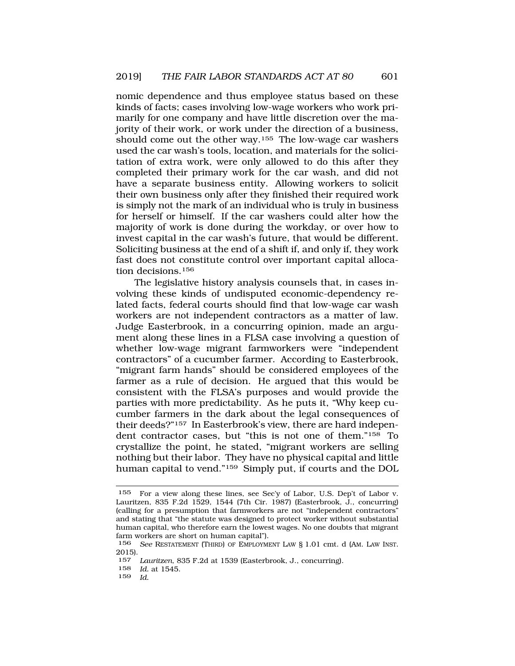nomic dependence and thus employee status based on these kinds of facts; cases involving low-wage workers who work primarily for one company and have little discretion over the majority of their work, or work under the direction of a business, should come out the other way.<sup>155</sup> The low-wage car washers used the car wash's tools, location, and materials for the solicitation of extra work, were only allowed to do this after they completed their primary work for the car wash, and did not have a separate business entity. Allowing workers to solicit their own business only after they finished their required work is simply not the mark of an individual who is truly in business for herself or himself. If the car washers could alter how the majority of work is done during the workday, or over how to invest capital in the car wash's future, that would be different. Soliciting business at the end of a shift if, and only if, they work fast does not constitute control over important capital allocation decisions.<sup>156</sup>

The legislative history analysis counsels that, in cases involving these kinds of undisputed economic-dependency related facts, federal courts should find that low-wage car wash workers are not independent contractors as a matter of law. Judge Easterbrook, in a concurring opinion, made an argument along these lines in a FLSA case involving a question of whether low-wage migrant farmworkers were "independent contractors" of a cucumber farmer. According to Easterbrook, "migrant farm hands" should be considered employees of the farmer as a rule of decision. He argued that this would be consistent with the FLSA's purposes and would provide the parties with more predictability. As he puts it, "Why keep cucumber farmers in the dark about the legal consequences of their deeds?"157 In Easterbrook's view, there are hard independent contractor cases, but "this is not one of them."158 To crystallize the point, he stated, "migrant workers are selling nothing but their labor. They have no physical capital and little human capital to vend."159 Simply put, if courts and the DOL

159 *Id.* 

<sup>155</sup> For a view along these lines, see Sec'y of Labor, U.S. Dep't of Labor v. Lauritzen, 835 F.2d 1529, 1544 (7th Cir. 1987) (Easterbrook, J., concurring) (calling for a presumption that farmworkers are not "independent contractors" and stating that "the statute was designed to protect worker without substantial human capital, who therefore earn the lowest wages. No one doubts that migrant farm workers are short on human capital").

<sup>156</sup> *See* RESTATEMENT (THIRD) OF EMPLOYMENT LAW § 1.01 cmt. d (AM. LAW INST. 2015).

<sup>157</sup> *Lauritzen*, 835 F.2d at 1539 (Easterbrook, J., concurring).

<sup>158</sup> *Id.* at 1545.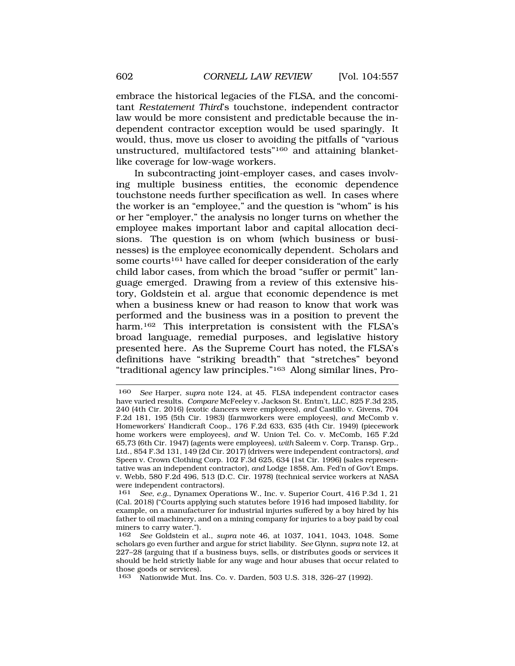embrace the historical legacies of the FLSA, and the concomitant *Restatement Third*'s touchstone, independent contractor law would be more consistent and predictable because the independent contractor exception would be used sparingly. It would, thus, move us closer to avoiding the pitfalls of "various unstructured, multifactored tests"160 and attaining blanketlike coverage for low-wage workers.

In subcontracting joint-employer cases, and cases involving multiple business entities, the economic dependence touchstone needs further specification as well. In cases where the worker is an "employee," and the question is "whom" is his or her "employer," the analysis no longer turns on whether the employee makes important labor and capital allocation decisions. The question is on whom (which business or businesses) is the employee economically dependent. Scholars and some courts<sup>161</sup> have called for deeper consideration of the early child labor cases, from which the broad "suffer or permit" language emerged. Drawing from a review of this extensive history, Goldstein et al. argue that economic dependence is met when a business knew or had reason to know that work was performed and the business was in a position to prevent the harm.162 This interpretation is consistent with the FLSA's broad language, remedial purposes, and legislative history presented here. As the Supreme Court has noted, the FLSA's definitions have "striking breadth" that "stretches" beyond "traditional agency law principles."163 Along similar lines, Pro-

<sup>160</sup> *See* Harper, *supra* note 124, at 45. FLSA independent contractor cases have varied results. *Compare* McFeeley v. Jackson St. Entm't, LLC, 825 F.3d 235, 240 (4th Cir. 2016) (exotic dancers were employees), *and* Castillo v. Givens, 704 F.2d 181, 195 (5th Cir. 1983) (farmworkers were employees), *and* McComb v. Homeworkers' Handicraft Coop., 176 F.2d 633, 635 (4th Cir. 1949) (piecework home workers were employees), *and* W. Union Tel. Co. v. McComb, 165 F.2d 65,73 (6th Cir. 1947) (agents were employees), *with* Saleem v. Corp. Transp. Grp., Ltd., 854 F.3d 131, 149 (2d Cir. 2017) (drivers were independent contractors), *and*  Speen v. Crown Clothing Corp. 102 F.3d 625, 634 (1st Cir. 1996) (sales representative was an independent contractor), *and* Lodge 1858, Am. Fed'n of Gov't Emps. v. Webb, 580 F.2d 496, 513 (D.C. Cir. 1978) (technical service workers at NASA were independent contractors).

<sup>161</sup> *See, e.g.*, Dynamex Operations W., Inc. v. Superior Court, 416 P.3d 1, 21 (Cal. 2018) ("Courts applying such statutes before 1916 had imposed liability, for example, on a manufacturer for industrial injuries suffered by a boy hired by his father to oil machinery, and on a mining company for injuries to a boy paid by coal miners to carry water.").<br> $162 \text{ See Goldstein et}$ 

<sup>162</sup> *See* Goldstein et al., *supra* note 46, at 1037, 1041, 1043, 1048. Some scholars go even further and argue for strict liability. *See* Glynn, *supra* note 12, at 227–28 (arguing that if a business buys, sells, or distributes goods or services it should be held strictly liable for any wage and hour abuses that occur related to those goods or services).

<sup>163</sup> Nationwide Mut. Ins. Co. v. Darden, 503 U.S. 318, 326–27 (1992).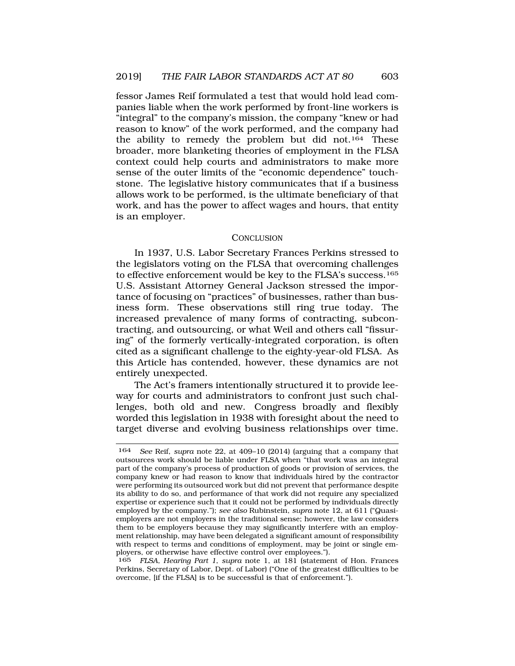fessor James Reif formulated a test that would hold lead companies liable when the work performed by front-line workers is "integral" to the company's mission, the company "knew or had reason to know" of the work performed, and the company had the ability to remedy the problem but did not.164 These broader, more blanketing theories of employment in the FLSA context could help courts and administrators to make more sense of the outer limits of the "economic dependence" touchstone. The legislative history communicates that if a business allows work to be performed, is the ultimate beneficiary of that work, and has the power to affect wages and hours, that entity is an employer.

#### **CONCLUSION**

In 1937, U.S. Labor Secretary Frances Perkins stressed to the legislators voting on the FLSA that overcoming challenges to effective enforcement would be key to the FLSA's success.165 U.S. Assistant Attorney General Jackson stressed the importance of focusing on "practices" of businesses, rather than business form. These observations still ring true today. The increased prevalence of many forms of contracting, subcontracting, and outsourcing, or what Weil and others call "fissuring" of the formerly vertically-integrated corporation, is often cited as a significant challenge to the eighty-year-old FLSA. As this Article has contended, however, these dynamics are not entirely unexpected.

The Act's framers intentionally structured it to provide leeway for courts and administrators to confront just such challenges, both old and new. Congress broadly and flexibly worded this legislation in 1938 with foresight about the need to target diverse and evolving business relationships over time.

<sup>164</sup> *See* Reif, *supra* note 22, at 409–10 (2014) (arguing that a company that outsources work should be liable under FLSA when "that work was an integral part of the company's process of production of goods or provision of services, the company knew or had reason to know that individuals hired by the contractor were performing its outsourced work but did not prevent that performance despite its ability to do so, and performance of that work did not require any specialized expertise or experience such that it could not be performed by individuals directly employed by the company."); *see also* Rubinstein, *supra* note 12, at 611 ("Quasiemployers are not employers in the traditional sense; however, the law considers them to be employers because they may significantly interfere with an employment relationship, may have been delegated a significant amount of responsibility with respect to terms and conditions of employment, may be joint or single employers, or otherwise have effective control over employees.").

<sup>165</sup> *FLSA, Hearing Part 1*, *supra* note 1, at 181 (statement of Hon. Frances Perkins, Secretary of Labor, Dept. of Labor) ("One of the greatest difficulties to be overcome, [if the FLSA] is to be successful is that of enforcement.").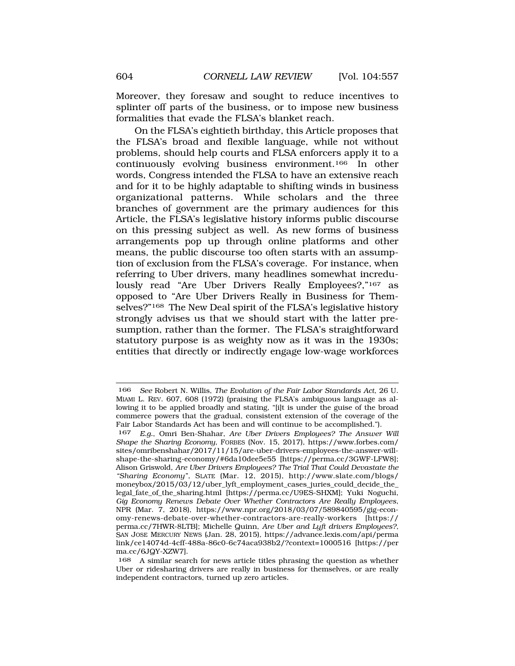Moreover, they foresaw and sought to reduce incentives to splinter off parts of the business, or to impose new business formalities that evade the FLSA's blanket reach.

On the FLSA's eightieth birthday, this Article proposes that the FLSA's broad and flexible language, while not without problems, should help courts and FLSA enforcers apply it to a continuously evolving business environment.166 In other words, Congress intended the FLSA to have an extensive reach and for it to be highly adaptable to shifting winds in business organizational patterns. While scholars and the three branches of government are the primary audiences for this Article, the FLSA's legislative history informs public discourse on this pressing subject as well. As new forms of business arrangements pop up through online platforms and other means, the public discourse too often starts with an assumption of exclusion from the FLSA's coverage. For instance, when referring to Uber drivers, many headlines somewhat incredulously read "Are Uber Drivers Really Employees?,"<sup>167</sup> as opposed to "Are Uber Drivers Really in Business for Themselves?"168 The New Deal spirit of the FLSA's legislative history strongly advises us that we should start with the latter presumption, rather than the former. The FLSA's straightforward statutory purpose is as weighty now as it was in the 1930s; entities that directly or indirectly engage low-wage workforces

<sup>166</sup> *See* Robert N. Willis, *The Evolution of the Fair Labor Standards Act*, 26 U. MIAMI L. REV. 607, 608 (1972) (praising the FLSA's ambiguous language as allowing it to be applied broadly and stating, "[i]t is under the guise of the broad commerce powers that the gradual, consistent extension of the coverage of the Fair Labor Standards Act has been and will continue to be accomplished.").

<sup>167</sup> *E.g.*, Omri Ben-Shahar, *Are Uber Drivers Employees? The Answer Will Shape the Sharing Economy*, FORBES (Nov. 15, 2017), https://www.forbes.com/ sites/omribenshahar/2017/11/15/are-uber-drivers-employees-the-answer-willshape-the-sharing-economy/#6da10dee5e55 [https://perma.cc/3GWF-LFW8]; Alison Griswold, *Are Uber Drivers Employees? The Trial That Could Devastate the "Sharing Economy"*, SLATE (Mar. 12, 2015), http://www.slate.com/blogs/ moneybox/2015/03/12/uber\_lyft\_employment\_cases\_juries\_could\_decide\_the\_ legal\_fate\_of\_the\_sharing.html [https://perma.cc/U9ES-SHXM]; Yuki Noguchi, *Gig Economy Renews Debate Over Whether Contractors Are Really Employees*, NPR (Mar. 7, 2018), https://www.npr.org/2018/03/07/589840595/gig-economy-renews-debate-over-whether-contractors-are-really-workers [https:// perma.cc/7HWR-8LTB]; Michelle Quinn, *Are Uber and Lyft drivers Employees?,*  SAN JOSE MERCURY NEWS (Jan. 28, 2015), https://advance.lexis.com/api/perma link/ce14074d-4cff-488a-86c0-6c74aca938b2/?context=1000516 [https://per ma.cc/6JQY-XZW7].

<sup>168</sup> A similar search for news article titles phrasing the question as whether Uber or ridesharing drivers are really in business for themselves, or are really independent contractors, turned up zero articles.